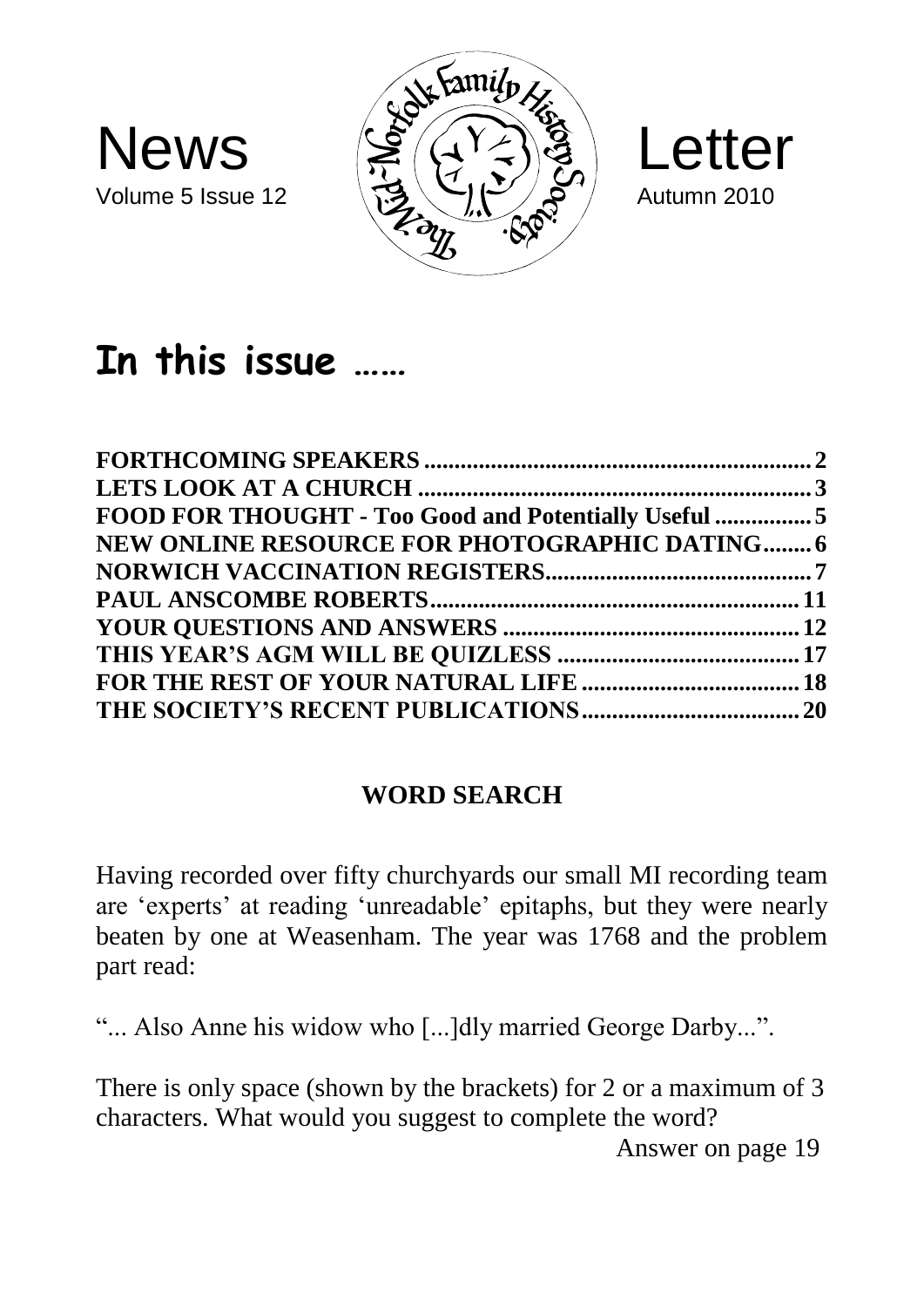





# **In this issue ……**

| FOOD FOR THOUGHT - Too Good and Potentially Useful  5 |  |
|-------------------------------------------------------|--|
| <b>NEW ONLINE RESOURCE FOR PHOTOGRAPHIC DATING 6</b>  |  |
|                                                       |  |
|                                                       |  |
|                                                       |  |
|                                                       |  |
|                                                       |  |
|                                                       |  |
|                                                       |  |

#### **WORD SEARCH**

Having recorded over fifty churchyards our small MI recording team are 'experts' at reading 'unreadable' epitaphs, but they were nearly beaten by one at Weasenham. The year was 1768 and the problem part read:

"... Also Anne his widow who [...]dly married George Darby...".

There is only space (shown by the brackets) for 2 or a maximum of 3 characters. What would you suggest to complete the word?

Answer on page 19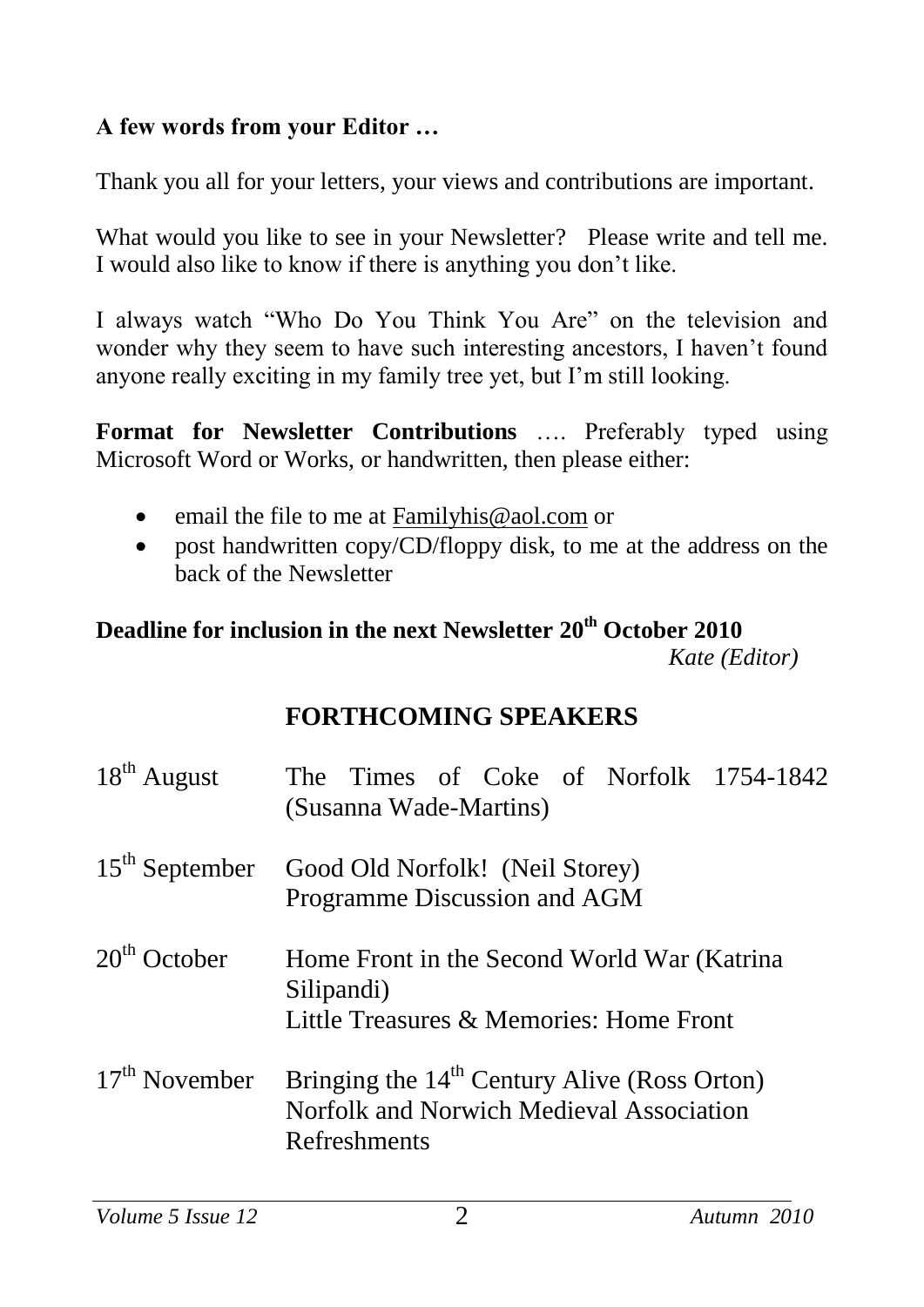#### **A few words from your Editor …**

Thank you all for your letters, your views and contributions are important.

What would you like to see in your Newsletter? Please write and tell me. I would also like to know if there is anything you don't like.

I always watch "Who Do You Think You Are" on the television and wonder why they seem to have such interesting ancestors, I haven't found anyone really exciting in my family tree yet, but I'm still looking.

**Format for Newsletter Contributions** …. Preferably typed using Microsoft Word or Works, or handwritten, then please either:

- email the file to me at [Familyhis@aol.com](mailto:Familyhis@aol.com) or
- post handwritten copy/CD/floppy disk, to me at the address on the back of the Newsletter

#### **Deadline for inclusion in the next Newsletter 20th October 2010**  *Kate (Editor)*

#### **FORTHCOMING SPEAKERS**

| $18^{th}$ August | The Times of Coke of Norfolk 1754-1842<br>(Susanna Wade-Martins)                                                     |
|------------------|----------------------------------------------------------------------------------------------------------------------|
|                  | 15 <sup>th</sup> September Good Old Norfolk! (Neil Storey)<br>Programme Discussion and AGM                           |
| $20th$ October   | Home Front in the Second World War (Katrina<br>Silipandi)<br>Little Treasures & Memories: Home Front                 |
| $17th$ November  | Bringing the 14 <sup>th</sup> Century Alive (Ross Orton)<br>Norfolk and Norwich Medieval Association<br>Refreshments |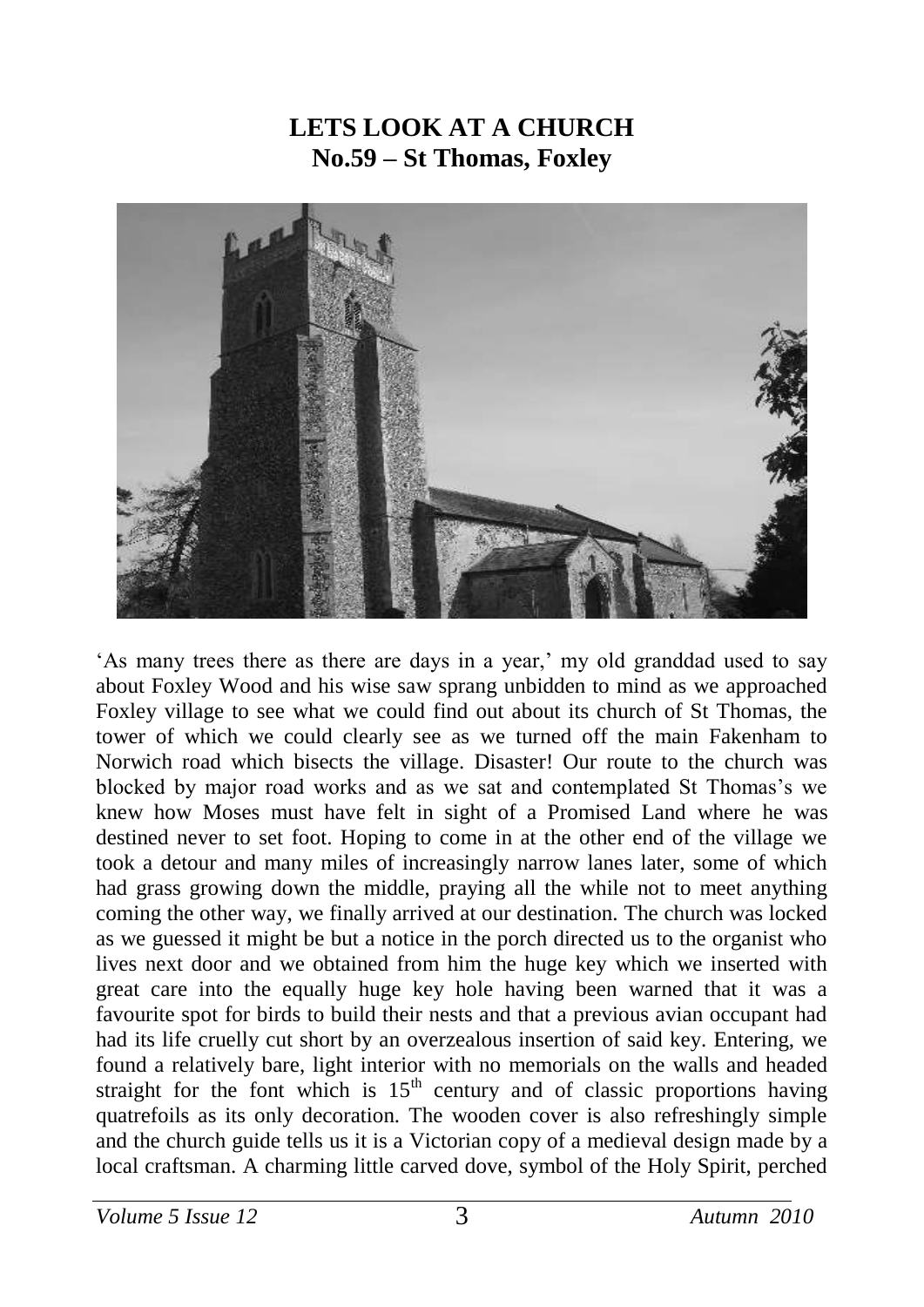#### **LETS LOOK AT A CHURCH No.59 – St Thomas, Foxley**



'As many trees there as there are days in a year,' my old granddad used to say about Foxley Wood and his wise saw sprang unbidden to mind as we approached Foxley village to see what we could find out about its church of St Thomas, the tower of which we could clearly see as we turned off the main Fakenham to Norwich road which bisects the village. Disaster! Our route to the church was blocked by major road works and as we sat and contemplated St Thomas's we knew how Moses must have felt in sight of a Promised Land where he was destined never to set foot. Hoping to come in at the other end of the village we took a detour and many miles of increasingly narrow lanes later, some of which had grass growing down the middle, praying all the while not to meet anything coming the other way, we finally arrived at our destination. The church was locked as we guessed it might be but a notice in the porch directed us to the organist who lives next door and we obtained from him the huge key which we inserted with great care into the equally huge key hole having been warned that it was a favourite spot for birds to build their nests and that a previous avian occupant had had its life cruelly cut short by an overzealous insertion of said key. Entering, we found a relatively bare, light interior with no memorials on the walls and headed straight for the font which is  $15<sup>th</sup>$  century and of classic proportions having quatrefoils as its only decoration. The wooden cover is also refreshingly simple and the church guide tells us it is a Victorian copy of a medieval design made by a local craftsman. A charming little carved dove, symbol of the Holy Spirit, perched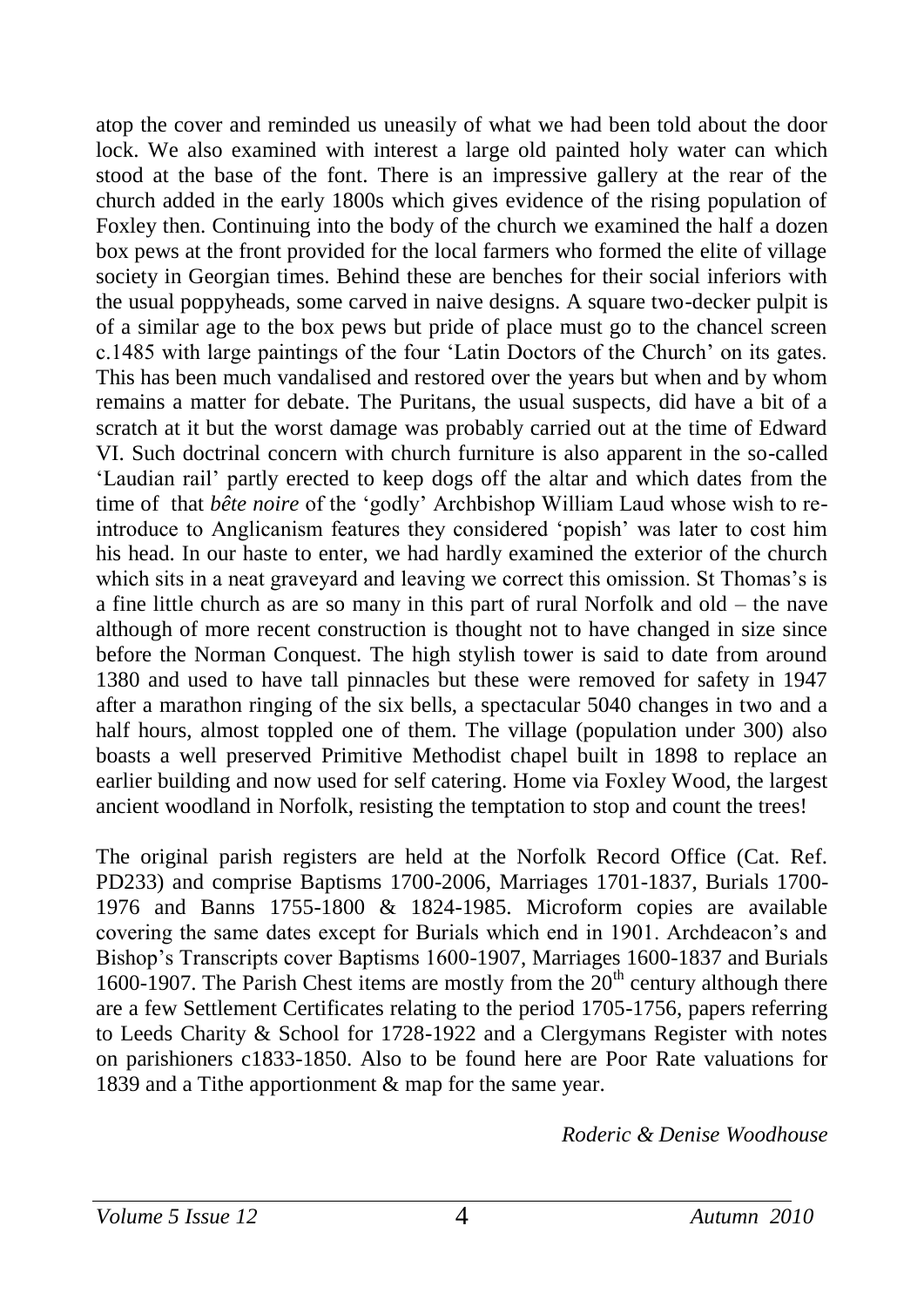atop the cover and reminded us uneasily of what we had been told about the door lock. We also examined with interest a large old painted holy water can which stood at the base of the font. There is an impressive gallery at the rear of the church added in the early 1800s which gives evidence of the rising population of Foxley then. Continuing into the body of the church we examined the half a dozen box pews at the front provided for the local farmers who formed the elite of village society in Georgian times. Behind these are benches for their social inferiors with the usual poppyheads, some carved in naive designs. A square two-decker pulpit is of a similar age to the box pews but pride of place must go to the chancel screen c.1485 with large paintings of the four 'Latin Doctors of the Church' on its gates. This has been much vandalised and restored over the years but when and by whom remains a matter for debate. The Puritans, the usual suspects, did have a bit of a scratch at it but the worst damage was probably carried out at the time of Edward VI. Such doctrinal concern with church furniture is also apparent in the so-called 'Laudian rail' partly erected to keep dogs off the altar and which dates from the time of that *bête noire* of the 'godly' Archbishop William Laud whose wish to reintroduce to Anglicanism features they considered 'popish' was later to cost him his head. In our haste to enter, we had hardly examined the exterior of the church which sits in a neat graveyard and leaving we correct this omission. St Thomas's is a fine little church as are so many in this part of rural Norfolk and old – the nave although of more recent construction is thought not to have changed in size since before the Norman Conquest. The high stylish tower is said to date from around 1380 and used to have tall pinnacles but these were removed for safety in 1947 after a marathon ringing of the six bells, a spectacular 5040 changes in two and a half hours, almost toppled one of them. The village (population under 300) also boasts a well preserved Primitive Methodist chapel built in 1898 to replace an earlier building and now used for self catering. Home via Foxley Wood, the largest ancient woodland in Norfolk, resisting the temptation to stop and count the trees!

The original parish registers are held at the Norfolk Record Office (Cat. Ref. PD233) and comprise Baptisms 1700-2006, Marriages 1701-1837, Burials 1700- 1976 and Banns 1755-1800 & 1824-1985. Microform copies are available covering the same dates except for Burials which end in 1901. Archdeacon's and Bishop's Transcripts cover Baptisms 1600-1907, Marriages 1600-1837 and Burials 1600-1907. The Parish Chest items are mostly from the  $20<sup>th</sup>$  century although there are a few Settlement Certificates relating to the period 1705-1756, papers referring to Leeds Charity & School for 1728-1922 and a Clergymans Register with notes on parishioners c1833-1850. Also to be found here are Poor Rate valuations for 1839 and a Tithe apportionment & map for the same year.

*Roderic & Denise Woodhouse*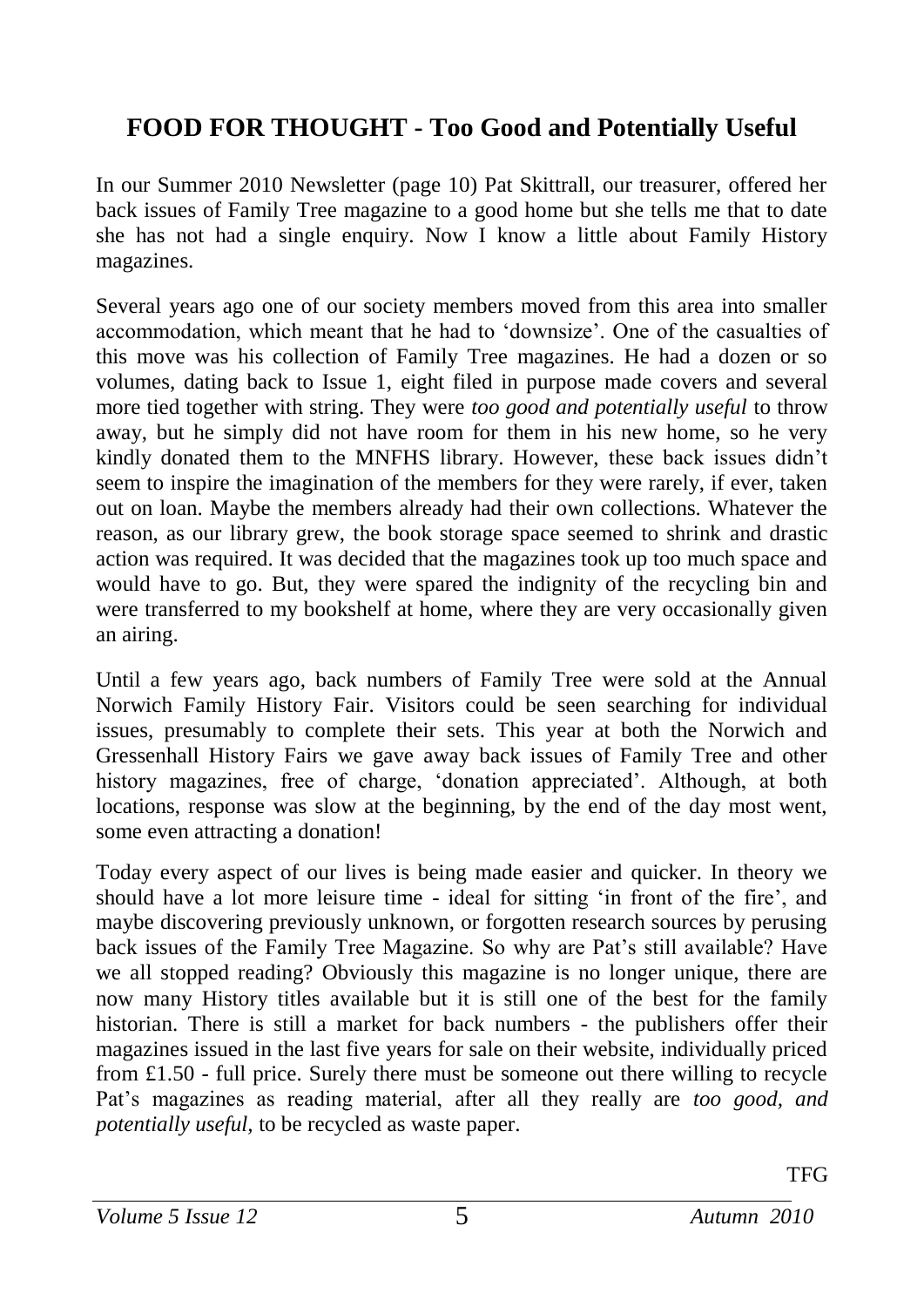## **FOOD FOR THOUGHT - Too Good and Potentially Useful**

In our Summer 2010 Newsletter (page 10) Pat Skittrall, our treasurer, offered her back issues of Family Tree magazine to a good home but she tells me that to date she has not had a single enquiry. Now I know a little about Family History magazines.

Several years ago one of our society members moved from this area into smaller accommodation, which meant that he had to 'downsize'. One of the casualties of this move was his collection of Family Tree magazines. He had a dozen or so volumes, dating back to Issue 1, eight filed in purpose made covers and several more tied together with string. They were *too good and potentially useful* to throw away, but he simply did not have room for them in his new home, so he very kindly donated them to the MNFHS library. However, these back issues didn't seem to inspire the imagination of the members for they were rarely, if ever, taken out on loan. Maybe the members already had their own collections. Whatever the reason, as our library grew, the book storage space seemed to shrink and drastic action was required. It was decided that the magazines took up too much space and would have to go. But, they were spared the indignity of the recycling bin and were transferred to my bookshelf at home, where they are very occasionally given an airing.

Until a few years ago, back numbers of Family Tree were sold at the Annual Norwich Family History Fair. Visitors could be seen searching for individual issues, presumably to complete their sets. This year at both the Norwich and Gressenhall History Fairs we gave away back issues of Family Tree and other history magazines, free of charge, 'donation appreciated'. Although, at both locations, response was slow at the beginning, by the end of the day most went, some even attracting a donation!

Today every aspect of our lives is being made easier and quicker. In theory we should have a lot more leisure time - ideal for sitting 'in front of the fire', and maybe discovering previously unknown, or forgotten research sources by perusing back issues of the Family Tree Magazine. So why are Pat's still available? Have we all stopped reading? Obviously this magazine is no longer unique, there are now many History titles available but it is still one of the best for the family historian. There is still a market for back numbers - the publishers offer their magazines issued in the last five years for sale on their website, individually priced from £1.50 - full price. Surely there must be someone out there willing to recycle Pat's magazines as reading material, after all they really are *too good, and potentially useful,* to be recycled as waste paper.

TFG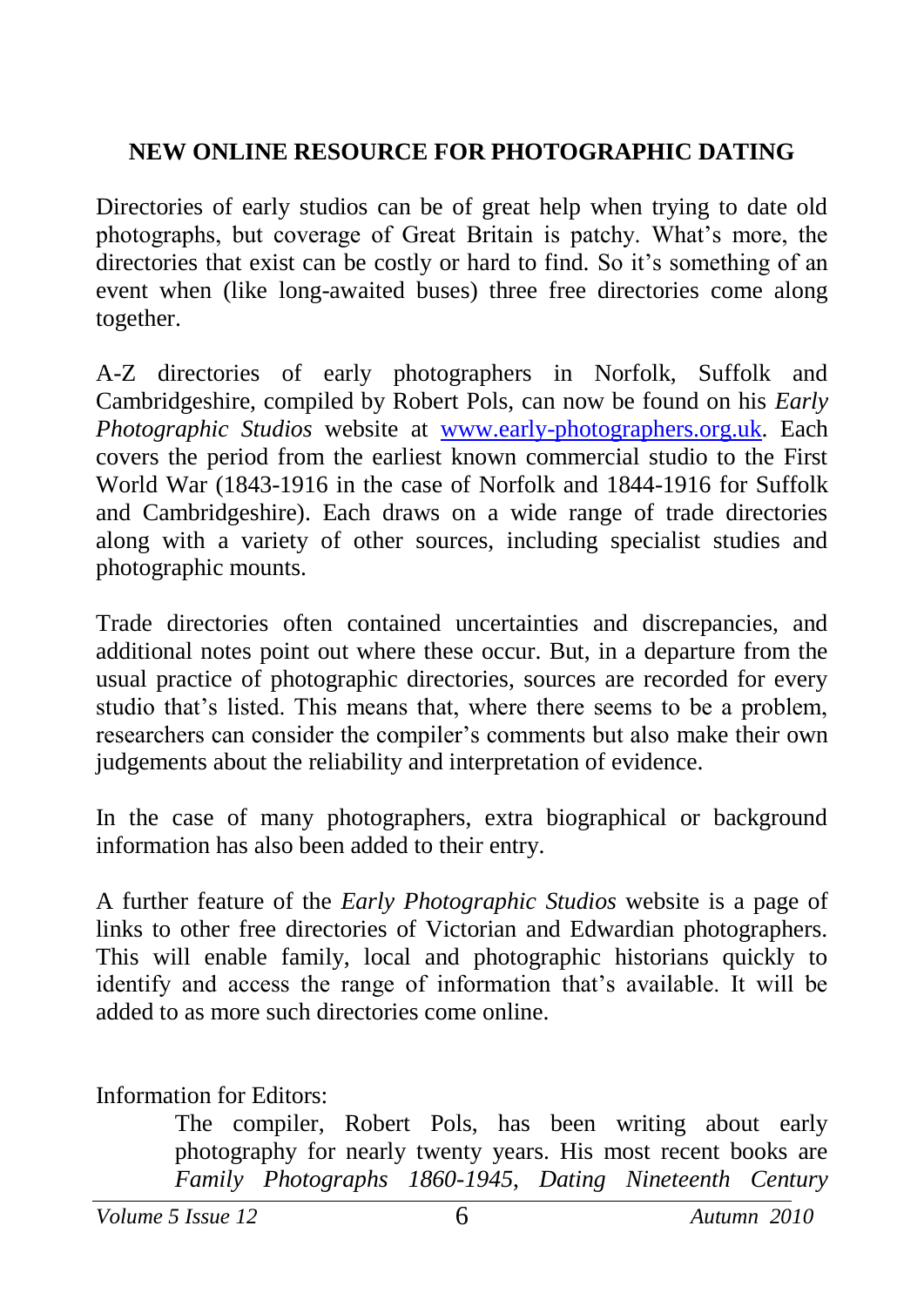#### **NEW ONLINE RESOURCE FOR PHOTOGRAPHIC DATING**

Directories of early studios can be of great help when trying to date old photographs, but coverage of Great Britain is patchy. What's more, the directories that exist can be costly or hard to find. So it's something of an event when (like long-awaited buses) three free directories come along together.

A-Z directories of early photographers in Norfolk, Suffolk and Cambridgeshire, compiled by Robert Pols, can now be found on his *Early Photographic Studios* website at [www.early-photographers.org.uk.](http://www.early-photographers.org.uk/) Each covers the period from the earliest known commercial studio to the First World War (1843-1916 in the case of Norfolk and 1844-1916 for Suffolk and Cambridgeshire). Each draws on a wide range of trade directories along with a variety of other sources, including specialist studies and photographic mounts.

Trade directories often contained uncertainties and discrepancies, and additional notes point out where these occur. But, in a departure from the usual practice of photographic directories, sources are recorded for every studio that's listed. This means that, where there seems to be a problem, researchers can consider the compiler's comments but also make their own judgements about the reliability and interpretation of evidence.

In the case of many photographers, extra biographical or background information has also been added to their entry.

A further feature of the *Early Photographic Studios* website is a page of links to other free directories of Victorian and Edwardian photographers. This will enable family, local and photographic historians quickly to identify and access the range of information that's available. It will be added to as more such directories come online.

Information for Editors:

The compiler, Robert Pols, has been writing about early photography for nearly twenty years. His most recent books are *Family Photographs 1860-1945*, *Dating Nineteenth Century* 

*Volume 5 Issue 12* 6 *Autumn 2010*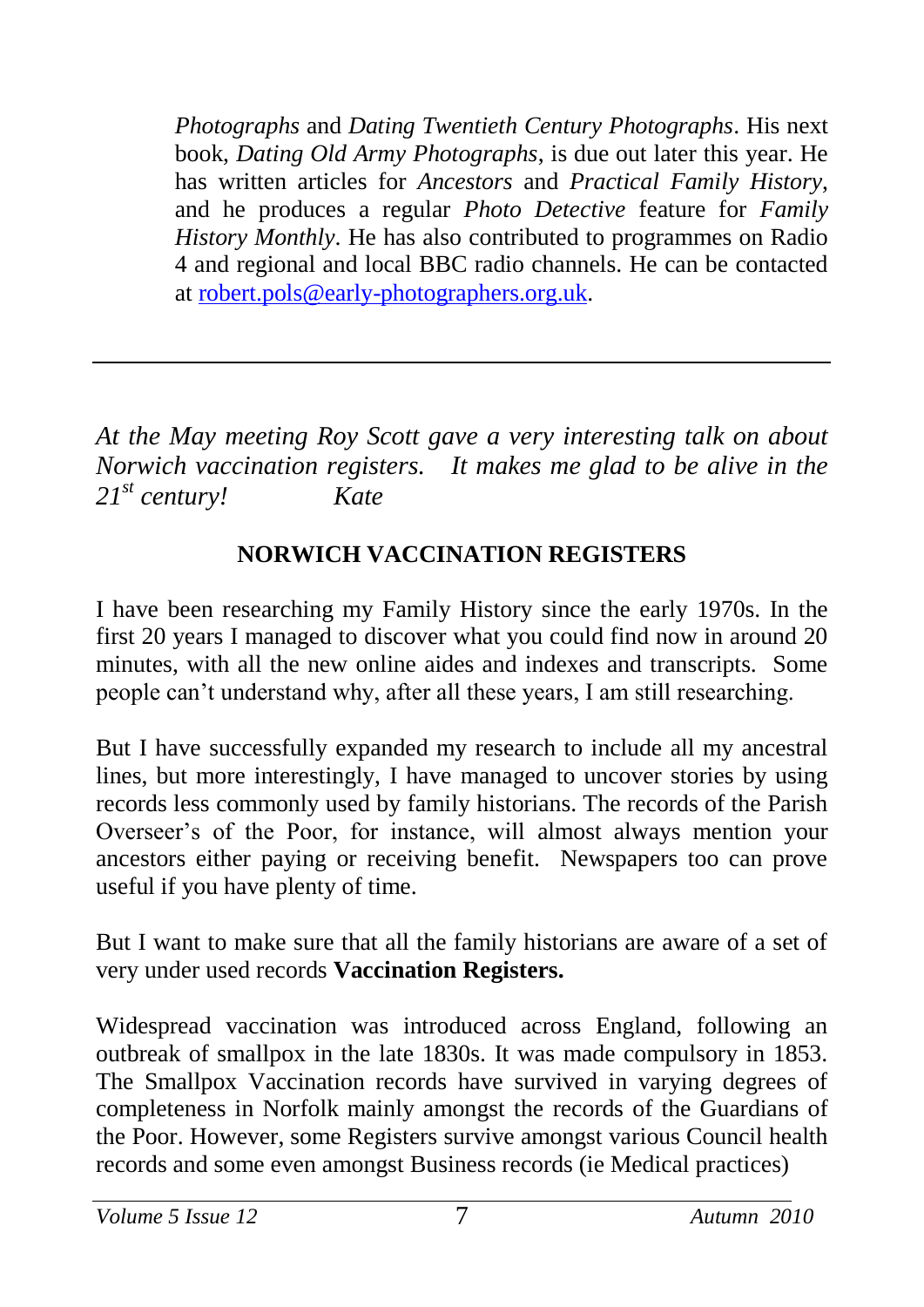*Photographs* and *Dating Twentieth Century Photographs*. His next book, *Dating Old Army Photographs*, is due out later this year. He has written articles for *Ancestors* and *Practical Family History*, and he produces a regular *Photo Detective* feature for *Family History Monthly*. He has also contributed to programmes on Radio 4 and regional and local BBC radio channels. He can be contacted at [robert.pols@early-photographers.org.uk.](mailto:robert.pols@early-photographers.org.uk)

*At the May meeting Roy Scott gave a very interesting talk on about Norwich vaccination registers. It makes me glad to be alive in the 21st century! Kate*

## **NORWICH VACCINATION REGISTERS**

I have been researching my Family History since the early 1970s. In the first 20 years I managed to discover what you could find now in around 20 minutes, with all the new online aides and indexes and transcripts. Some people can't understand why, after all these years, I am still researching.

But I have successfully expanded my research to include all my ancestral lines, but more interestingly, I have managed to uncover stories by using records less commonly used by family historians. The records of the Parish Overseer's of the Poor, for instance, will almost always mention your ancestors either paying or receiving benefit. Newspapers too can prove useful if you have plenty of time.

But I want to make sure that all the family historians are aware of a set of very under used records **Vaccination Registers.**

Widespread vaccination was introduced across England, following an outbreak of smallpox in the late 1830s. It was made compulsory in 1853. The Smallpox Vaccination records have survived in varying degrees of completeness in Norfolk mainly amongst the records of the Guardians of the Poor. However, some Registers survive amongst various Council health records and some even amongst Business records (ie Medical practices)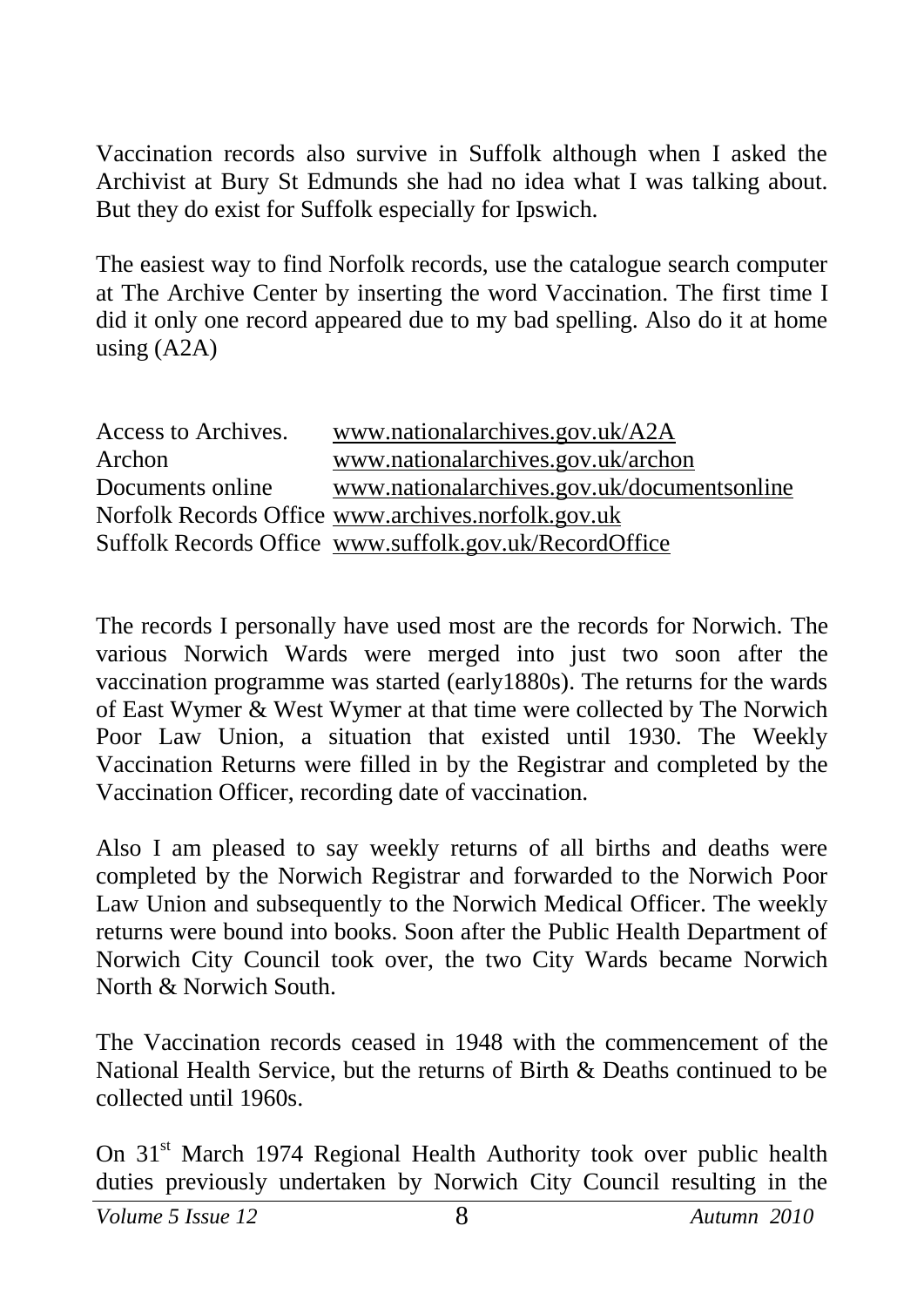Vaccination records also survive in Suffolk although when I asked the Archivist at Bury St Edmunds she had no idea what I was talking about. But they do exist for Suffolk especially for Ipswich.

The easiest way to find Norfolk records, use the catalogue search computer at The Archive Center by inserting the word Vaccination. The first time I did it only one record appeared due to my bad spelling. Also do it at home using (A2A)

| Access to Archives. | www.nationalarchives.gov.uk/A2A                        |
|---------------------|--------------------------------------------------------|
| Archon              | www.nationalarchives.gov.uk/archon                     |
| Documents online    | www.nationalarchives.gov.uk/documentsonline            |
|                     | Norfolk Records Office www.archives.norfolk.gov.uk     |
|                     | Suffolk Records Office www.suffolk.gov.uk/RecordOffice |

The records I personally have used most are the records for Norwich. The various Norwich Wards were merged into just two soon after the vaccination programme was started (early1880s). The returns for the wards of East Wymer & West Wymer at that time were collected by The Norwich Poor Law Union, a situation that existed until 1930. The Weekly Vaccination Returns were filled in by the Registrar and completed by the Vaccination Officer, recording date of vaccination.

Also I am pleased to say weekly returns of all births and deaths were completed by the Norwich Registrar and forwarded to the Norwich Poor Law Union and subsequently to the Norwich Medical Officer. The weekly returns were bound into books. Soon after the Public Health Department of Norwich City Council took over, the two City Wards became Norwich North & Norwich South.

The Vaccination records ceased in 1948 with the commencement of the National Health Service, but the returns of Birth & Deaths continued to be collected until 1960s.

On 31<sup>st</sup> March 1974 Regional Health Authority took over public health duties previously undertaken by Norwich City Council resulting in the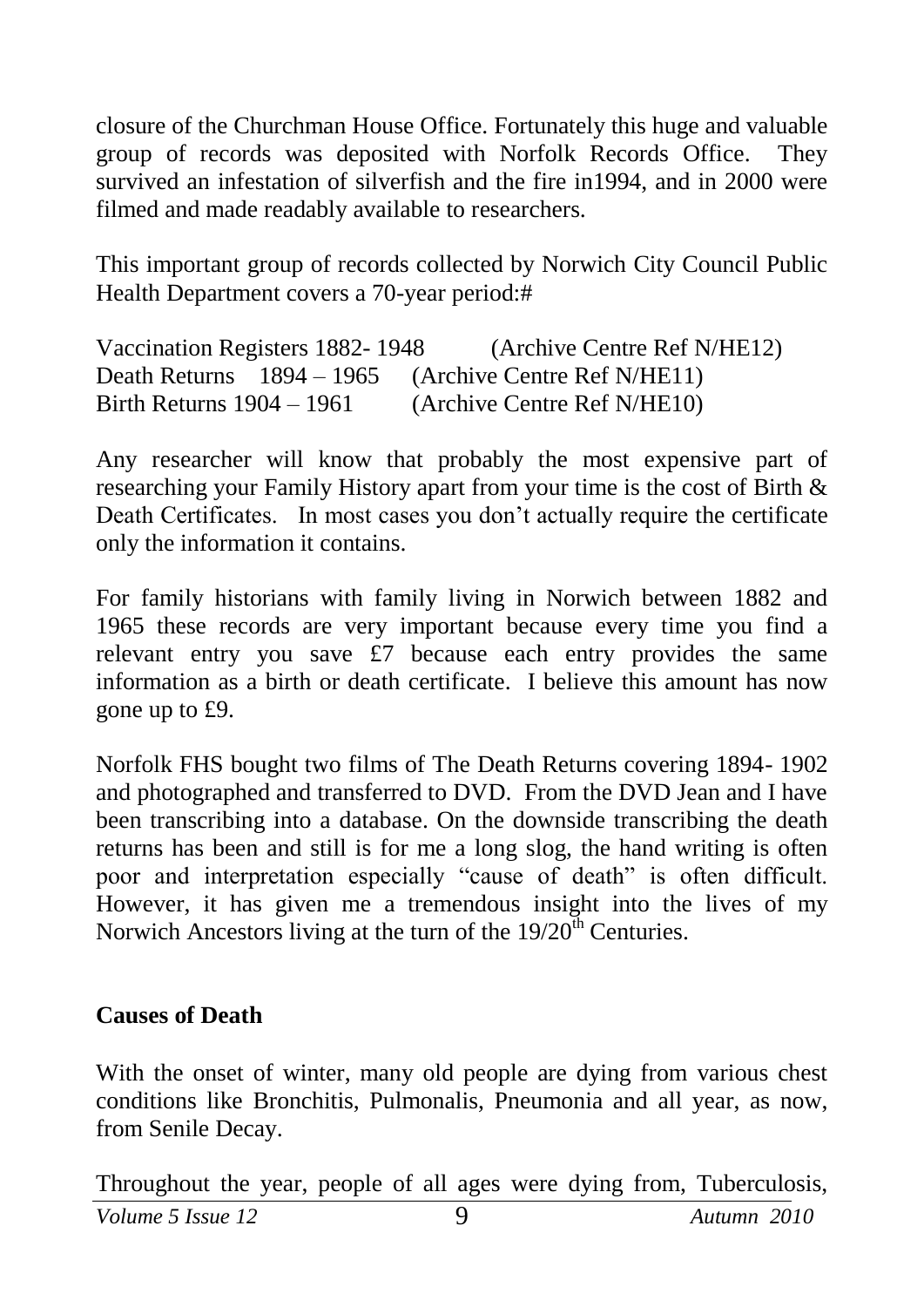closure of the Churchman House Office. Fortunately this huge and valuable group of records was deposited with Norfolk Records Office. They survived an infestation of silverfish and the fire in1994, and in 2000 were filmed and made readably available to researchers.

This important group of records collected by Norwich City Council Public Health Department covers a 70-year period:#

```
Vaccination Registers 1882- 1948 (Archive Centre Ref N/HE12)
Death Returns 1894 – 1965 (Archive Centre Ref N/HE11)
Birth Returns 1904 – 1961 (Archive Centre Ref N/HE10)
```
Any researcher will know that probably the most expensive part of researching your Family History apart from your time is the cost of Birth & Death Certificates. In most cases you don't actually require the certificate only the information it contains.

For family historians with family living in Norwich between 1882 and 1965 these records are very important because every time you find a relevant entry you save £7 because each entry provides the same information as a birth or death certificate. I believe this amount has now gone up to £9.

Norfolk FHS bought two films of The Death Returns covering 1894- 1902 and photographed and transferred to DVD. From the DVD Jean and I have been transcribing into a database. On the downside transcribing the death returns has been and still is for me a long slog, the hand writing is often poor and interpretation especially "cause of death" is often difficult. However, it has given me a tremendous insight into the lives of my Norwich Ancestors living at the turn of the  $19/20<sup>th</sup>$  Centuries.

#### **Causes of Death**

With the onset of winter, many old people are dying from various chest conditions like Bronchitis, Pulmonalis, Pneumonia and all year, as now, from Senile Decay.

Throughout the year, people of all ages were dying from, Tuberculosis,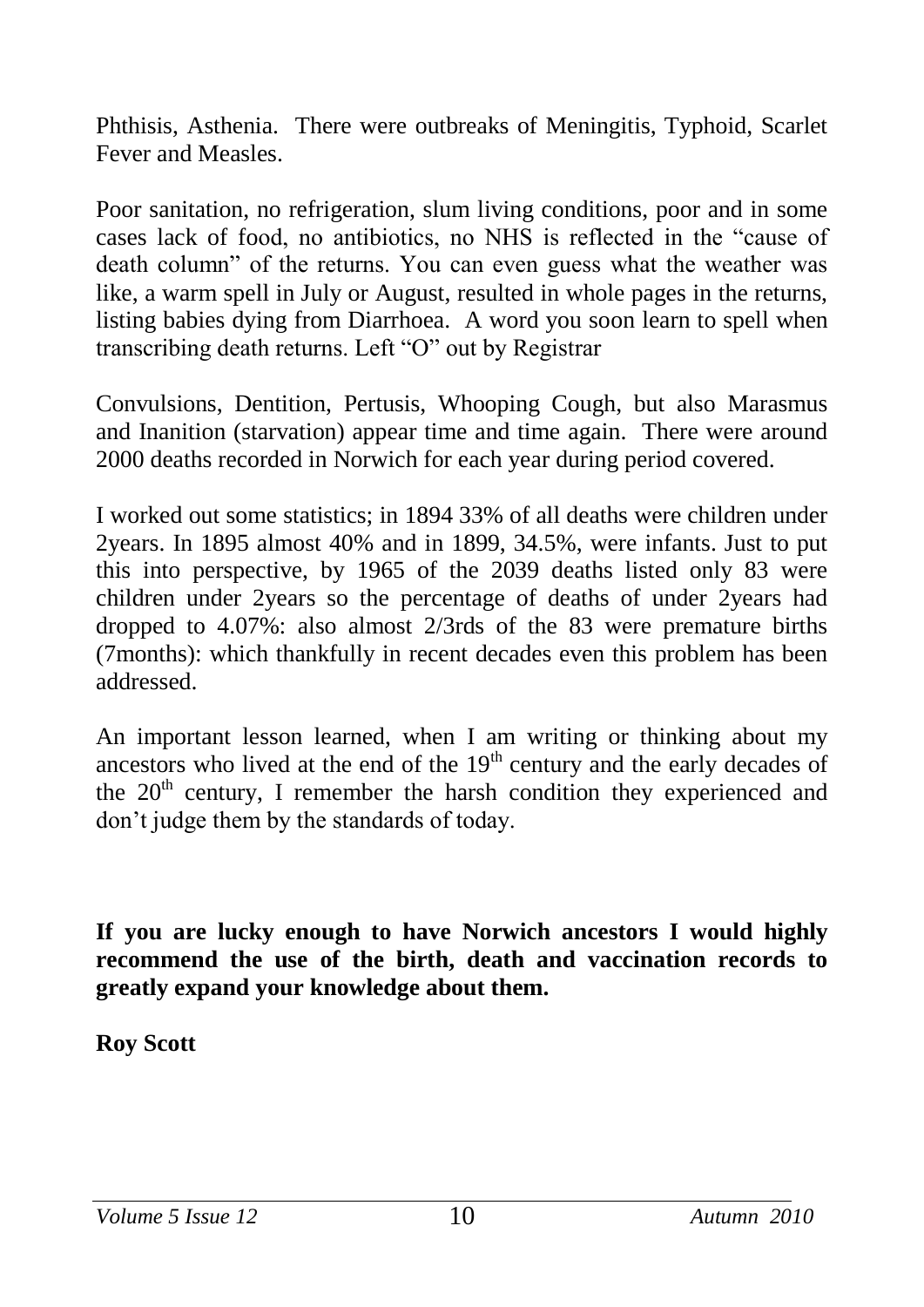Phthisis, Asthenia. There were outbreaks of Meningitis, Typhoid, Scarlet Fever and Measles.

Poor sanitation, no refrigeration, slum living conditions, poor and in some cases lack of food, no antibiotics, no NHS is reflected in the "cause of death column" of the returns. You can even guess what the weather was like, a warm spell in July or August, resulted in whole pages in the returns, listing babies dying from Diarrhoea. A word you soon learn to spell when transcribing death returns. Left "O" out by Registrar

Convulsions, Dentition, Pertusis, Whooping Cough, but also Marasmus and Inanition (starvation) appear time and time again. There were around 2000 deaths recorded in Norwich for each year during period covered.

I worked out some statistics; in 1894 33% of all deaths were children under 2years. In 1895 almost 40% and in 1899, 34.5%, were infants. Just to put this into perspective, by 1965 of the 2039 deaths listed only 83 were children under 2years so the percentage of deaths of under 2years had dropped to 4.07%: also almost 2/3rds of the 83 were premature births (7months): which thankfully in recent decades even this problem has been addressed.

An important lesson learned, when I am writing or thinking about my ancestors who lived at the end of the  $19<sup>th</sup>$  century and the early decades of the  $20<sup>th</sup>$  century. I remember the harsh condition they experienced and don't judge them by the standards of today.

**If you are lucky enough to have Norwich ancestors I would highly recommend the use of the birth, death and vaccination records to greatly expand your knowledge about them.**

**Roy Scott**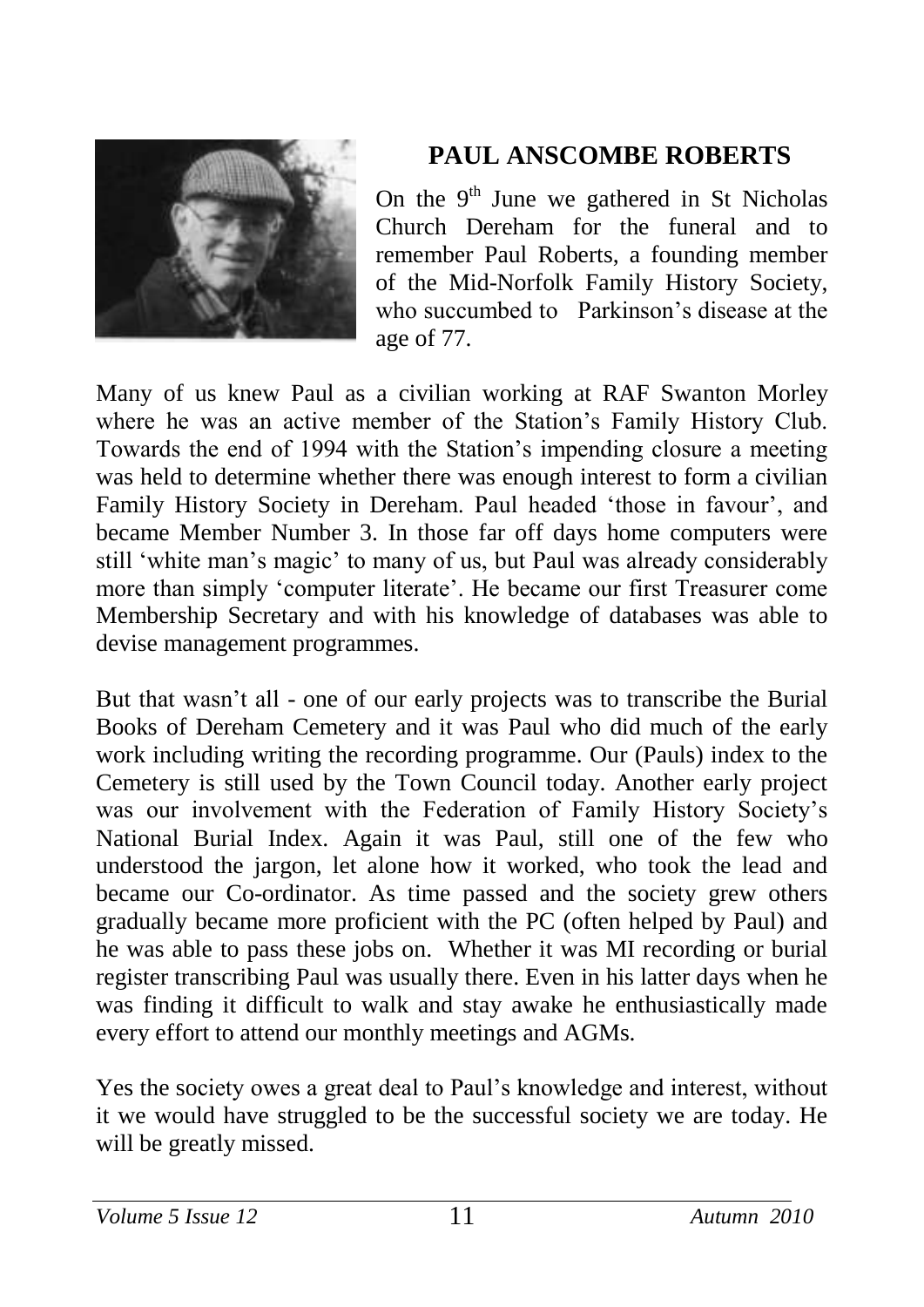

## **PAUL ANSCOMBE ROBERTS**

On the  $9<sup>th</sup>$  June we gathered in St Nicholas Church Dereham for the funeral and to remember Paul Roberts, a founding member of the Mid-Norfolk Family History Society, who succumbed to Parkinson's disease at the age of 77.

Many of us knew Paul as a civilian working at RAF Swanton Morley where he was an active member of the Station's Family History Club. Towards the end of 1994 with the Station's impending closure a meeting was held to determine whether there was enough interest to form a civilian Family History Society in Dereham. Paul headed 'those in favour', and became Member Number 3. In those far off days home computers were still 'white man's magic' to many of us, but Paul was already considerably more than simply 'computer literate'. He became our first Treasurer come Membership Secretary and with his knowledge of databases was able to devise management programmes.

But that wasn't all - one of our early projects was to transcribe the Burial Books of Dereham Cemetery and it was Paul who did much of the early work including writing the recording programme. Our (Pauls) index to the Cemetery is still used by the Town Council today. Another early project was our involvement with the Federation of Family History Society's National Burial Index. Again it was Paul, still one of the few who understood the jargon, let alone how it worked, who took the lead and became our Co-ordinator. As time passed and the society grew others gradually became more proficient with the PC (often helped by Paul) and he was able to pass these jobs on. Whether it was MI recording or burial register transcribing Paul was usually there. Even in his latter days when he was finding it difficult to walk and stay awake he enthusiastically made every effort to attend our monthly meetings and AGMs.

Yes the society owes a great deal to Paul's knowledge and interest, without it we would have struggled to be the successful society we are today. He will be greatly missed.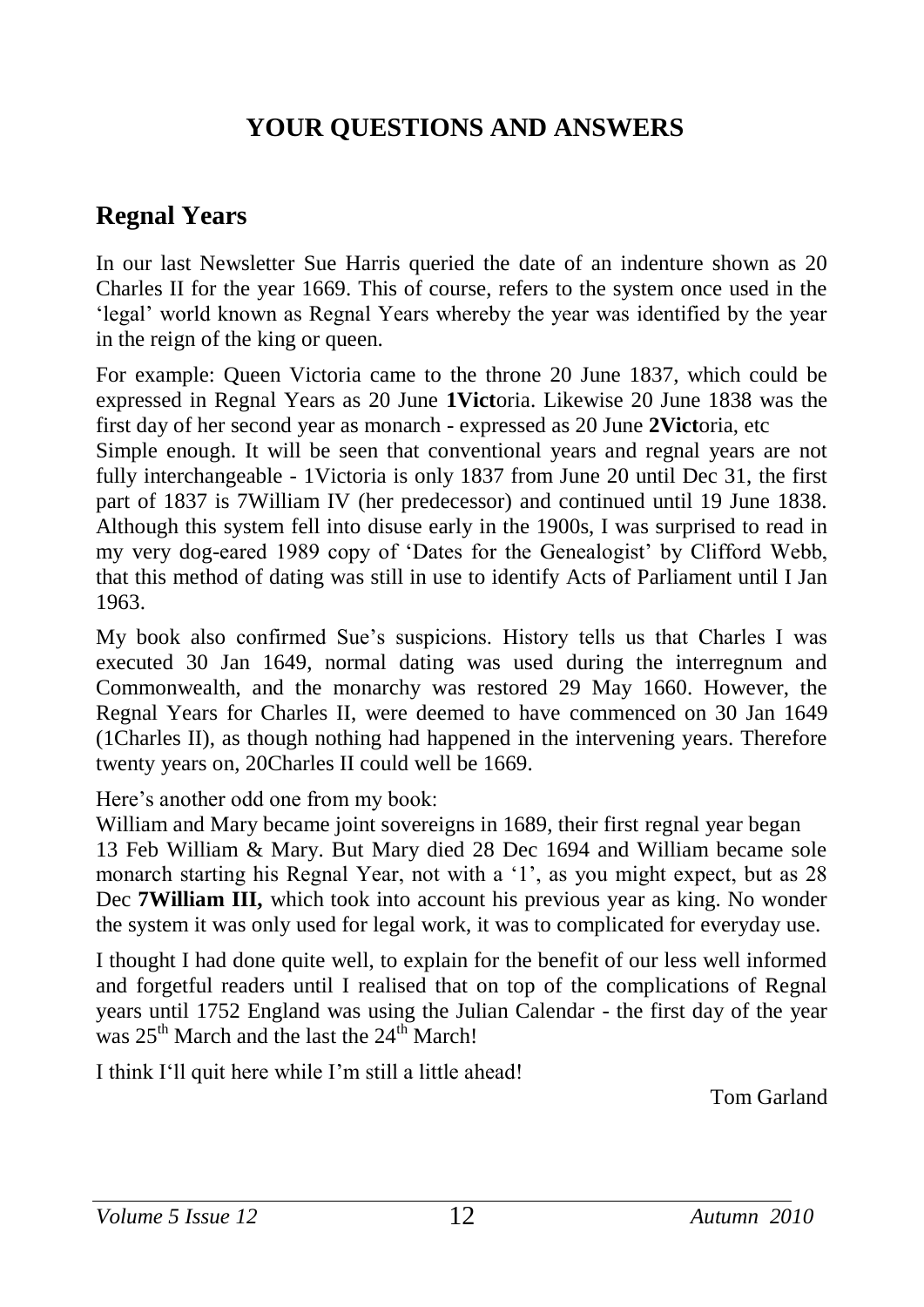## **YOUR QUESTIONS AND ANSWERS**

## **Regnal Years**

In our last Newsletter Sue Harris queried the date of an indenture shown as 20 Charles II for the year 1669. This of course, refers to the system once used in the 'legal' world known as Regnal Years whereby the year was identified by the year in the reign of the king or queen.

For example: Queen Victoria came to the throne 20 June 1837, which could be expressed in Regnal Years as 20 June **1Vict**oria. Likewise 20 June 1838 was the first day of her second year as monarch - expressed as 20 June **2Vict**oria, etc

Simple enough. It will be seen that conventional years and regnal years are not fully interchangeable - 1Victoria is only 1837 from June 20 until Dec 31, the first part of 1837 is 7William IV (her predecessor) and continued until 19 June 1838. Although this system fell into disuse early in the 1900s, I was surprised to read in my very dog-eared 1989 copy of 'Dates for the Genealogist' by Clifford Webb, that this method of dating was still in use to identify Acts of Parliament until I Jan 1963.

My book also confirmed Sue's suspicions. History tells us that Charles I was executed 30 Jan 1649, normal dating was used during the interregnum and Commonwealth, and the monarchy was restored 29 May 1660. However, the Regnal Years for Charles II, were deemed to have commenced on 30 Jan 1649 (1Charles II), as though nothing had happened in the intervening years. Therefore twenty years on, 20Charles II could well be 1669.

Here's another odd one from my book:

William and Mary became joint sovereigns in 1689, their first regnal year began 13 Feb William & Mary. But Mary died 28 Dec 1694 and William became sole monarch starting his Regnal Year, not with a '1', as you might expect, but as 28 Dec **7William III,** which took into account his previous year as king. No wonder the system it was only used for legal work, it was to complicated for everyday use.

I thought I had done quite well, to explain for the benefit of our less well informed and forgetful readers until I realised that on top of the complications of Regnal years until 1752 England was using the Julian Calendar - the first day of the year was  $25^{th}$  March and the last the  $24^{th}$  March!

I think I'll quit here while I'm still a little ahead!

Tom Garland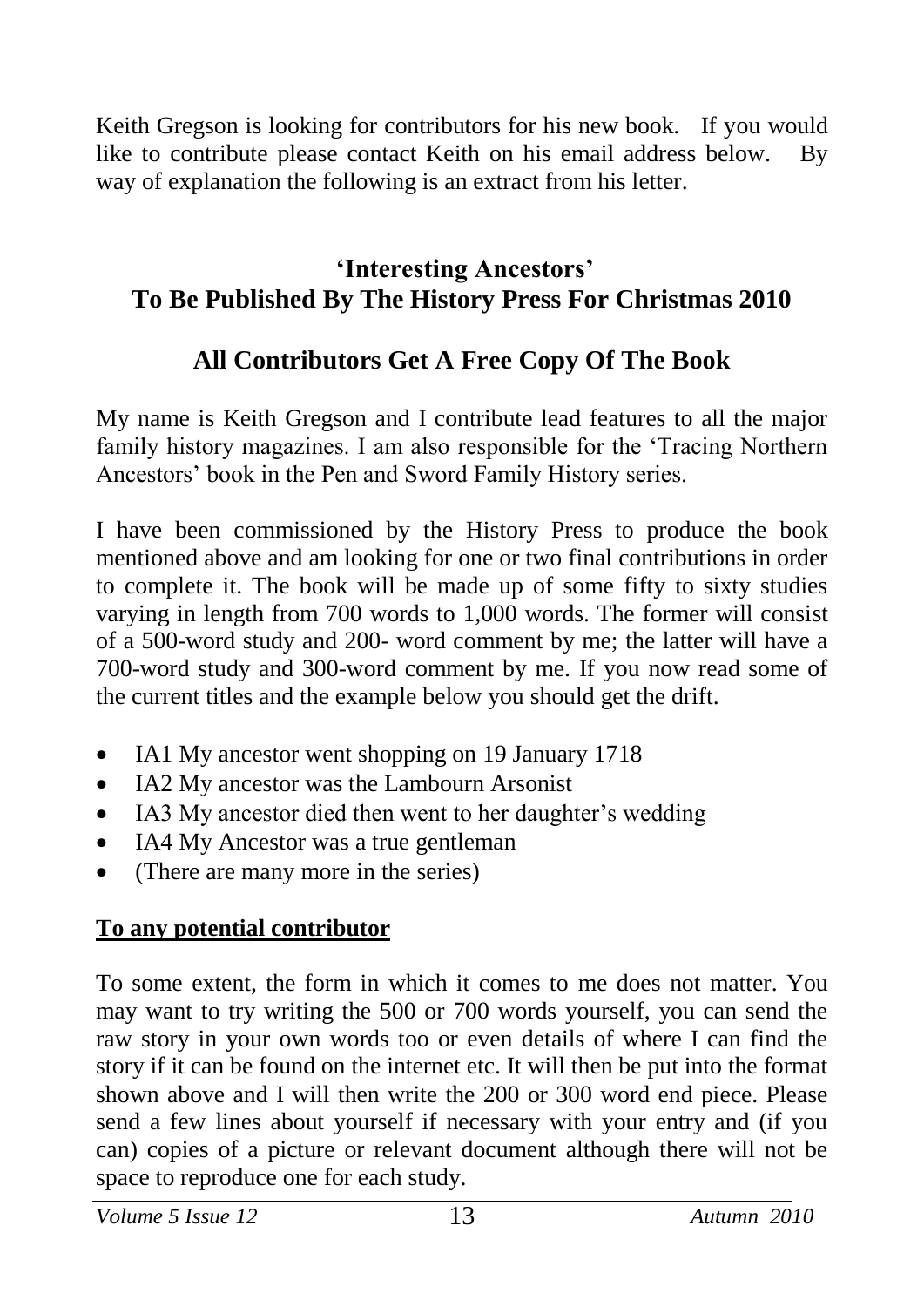Keith Gregson is looking for contributors for his new book. If you would like to contribute please contact Keith on his email address below. By way of explanation the following is an extract from his letter.

#### **'Interesting Ancestors' To Be Published By The History Press For Christmas 2010**

## **All Contributors Get A Free Copy Of The Book**

My name is Keith Gregson and I contribute lead features to all the major family history magazines. I am also responsible for the 'Tracing Northern Ancestors' book in the Pen and Sword Family History series.

I have been commissioned by the History Press to produce the book mentioned above and am looking for one or two final contributions in order to complete it. The book will be made up of some fifty to sixty studies varying in length from 700 words to 1,000 words. The former will consist of a 500-word study and 200- word comment by me; the latter will have a 700-word study and 300-word comment by me. If you now read some of the current titles and the example below you should get the drift.

- IA1 My ancestor went shopping on 19 January 1718
- IA2 My ancestor was the Lambourn Arsonist
- IA3 My ancestor died then went to her daughter's wedding
- IA4 My Ancestor was a true gentleman
- (There are many more in the series)

## **To any potential contributor**

To some extent, the form in which it comes to me does not matter. You may want to try writing the 500 or 700 words yourself, you can send the raw story in your own words too or even details of where I can find the story if it can be found on the internet etc. It will then be put into the format shown above and I will then write the 200 or 300 word end piece. Please send a few lines about yourself if necessary with your entry and (if you can) copies of a picture or relevant document although there will not be space to reproduce one for each study.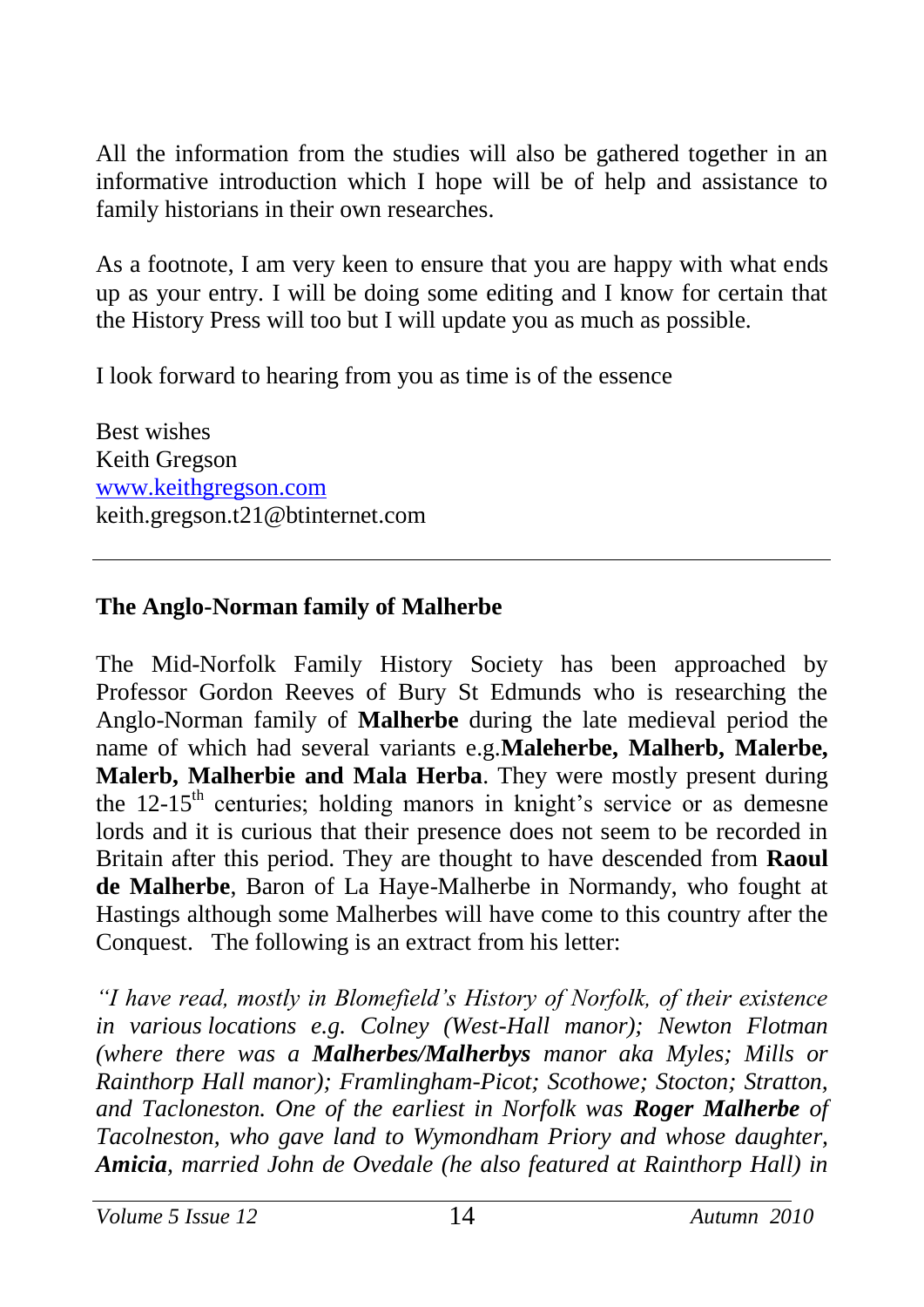All the information from the studies will also be gathered together in an informative introduction which I hope will be of help and assistance to family historians in their own researches.

As a footnote, I am very keen to ensure that you are happy with what ends up as your entry. I will be doing some editing and I know for certain that the History Press will too but I will update you as much as possible.

I look forward to hearing from you as time is of the essence

Best wishes Keith Gregson [www.keithgregson.com](http://www.keithgregson.com/) keith.gregson.t21@btinternet.com

#### **The Anglo-Norman family of Malherbe**

The Mid-Norfolk Family History Society has been approached by Professor Gordon Reeves of Bury St Edmunds who is researching the Anglo-Norman family of **Malherbe** during the late medieval period the name of which had several variants e.g.**Maleherbe, Malherb, Malerbe, Malerb, Malherbie and Mala Herba**. They were mostly present during the  $12-15<sup>th</sup>$  centuries; holding manors in knight's service or as demesne lords and it is curious that their presence does not seem to be recorded in Britain after this period. They are thought to have descended from **Raoul de Malherbe**, Baron of La Haye-Malherbe in Normandy, who fought at Hastings although some Malherbes will have come to this country after the Conquest. The following is an extract from his letter:

*"I have read, mostly in Blomefield's History of Norfolk, of their existence in various locations e.g. Colney (West-Hall manor); Newton Flotman (where there was a Malherbes/Malherbys manor aka Myles; Mills or Rainthorp Hall manor); Framlingham-Picot; Scothowe; Stocton; Stratton, and Tacloneston. One of the earliest in Norfolk was Roger Malherbe of Tacolneston, who gave land to Wymondham Priory and whose daughter, Amicia, married John de Ovedale (he also featured at Rainthorp Hall) in*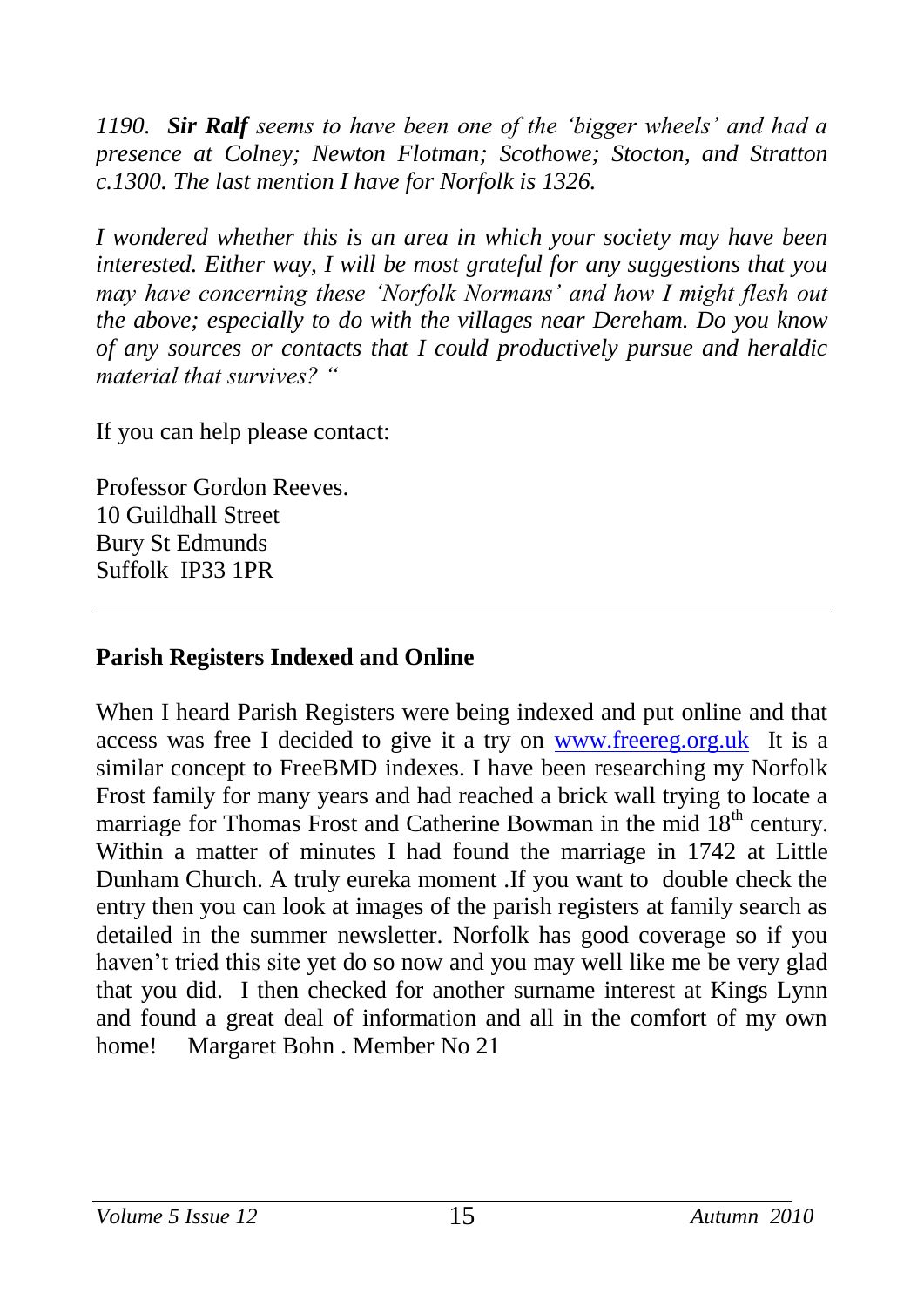*1190. Sir Ralf seems to have been one of the 'bigger wheels' and had a presence at Colney; Newton Flotman; Scothowe; Stocton, and Stratton c.1300. The last mention I have for Norfolk is 1326.* 

*I wondered whether this is an area in which your society may have been interested. Either way, I will be most grateful for any suggestions that you may have concerning these 'Norfolk Normans' and how I might flesh out the above; especially to do with the villages near Dereham. Do you know of any sources or contacts that I could productively pursue and heraldic material that survives? "*

If you can help please contact:

Professor Gordon Reeves. 10 Guildhall Street Bury St Edmunds Suffolk IP33 1PR

#### **Parish Registers Indexed and Online**

When I heard Parish Registers were being indexed and put online and that access was free I decided to give it a try on [www.freereg.org.uk](http://www.freereg.org.uk/) It is a similar concept to FreeBMD indexes. I have been researching my Norfolk Frost family for many years and had reached a brick wall trying to locate a marriage for Thomas Frost and Catherine Bowman in the mid 18<sup>th</sup> century. Within a matter of minutes I had found the marriage in 1742 at Little Dunham Church. A truly eureka moment .If you want to double check the entry then you can look at images of the parish registers at family search as detailed in the summer newsletter. Norfolk has good coverage so if you haven't tried this site yet do so now and you may well like me be very glad that you did. I then checked for another surname interest at Kings Lynn and found a great deal of information and all in the comfort of my own home! Margaret Bohn . Member No 21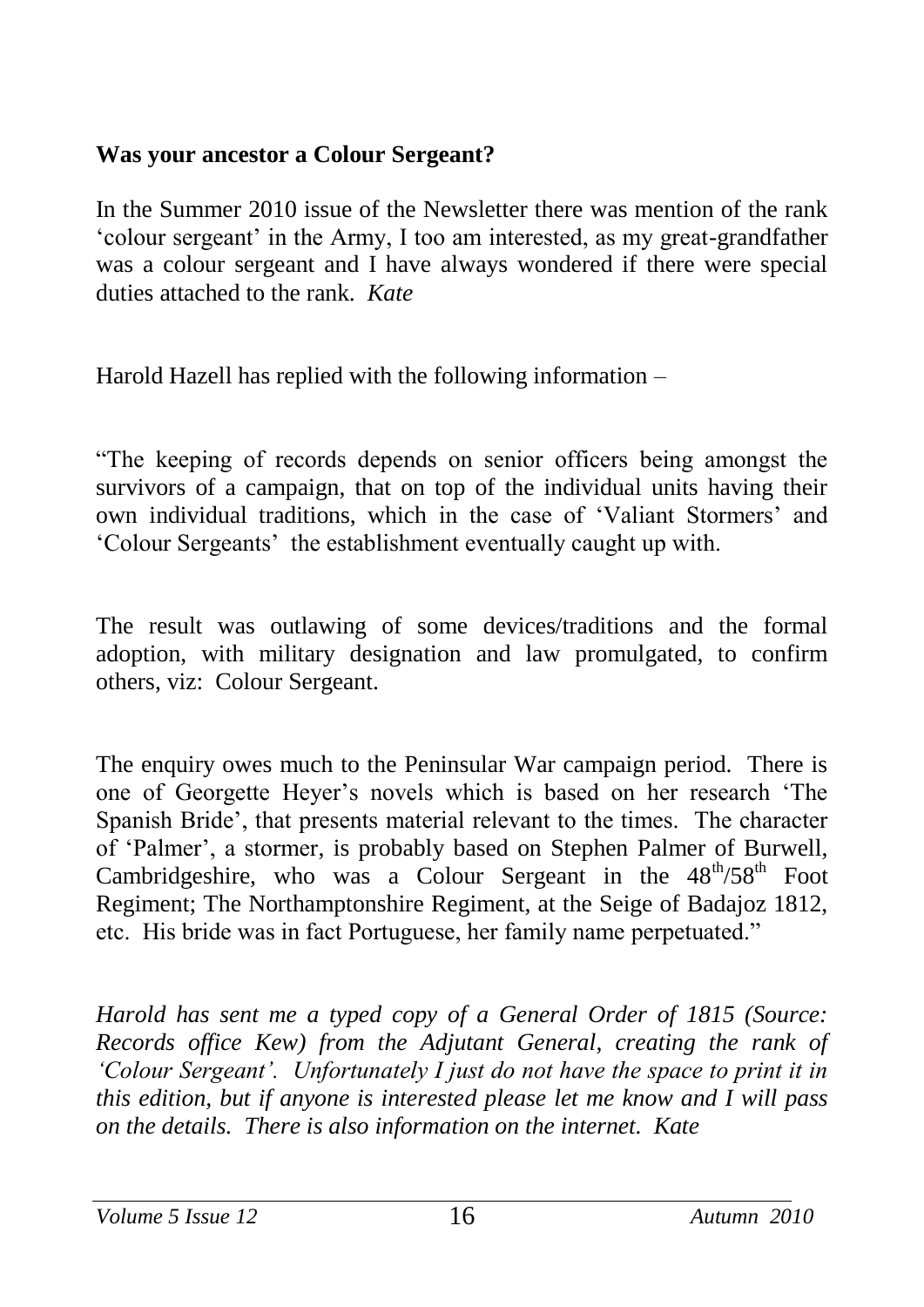#### **Was your ancestor a Colour Sergeant?**

In the Summer 2010 issue of the Newsletter there was mention of the rank 'colour sergeant' in the Army, I too am interested, as my great-grandfather was a colour sergeant and I have always wondered if there were special duties attached to the rank. *Kate*

Harold Hazell has replied with the following information –

"The keeping of records depends on senior officers being amongst the survivors of a campaign, that on top of the individual units having their own individual traditions, which in the case of 'Valiant Stormers' and 'Colour Sergeants' the establishment eventually caught up with.

The result was outlawing of some devices/traditions and the formal adoption, with military designation and law promulgated, to confirm others, viz: Colour Sergeant.

The enquiry owes much to the Peninsular War campaign period. There is one of Georgette Heyer's novels which is based on her research 'The Spanish Bride', that presents material relevant to the times. The character of 'Palmer', a stormer, is probably based on Stephen Palmer of Burwell, Cambridgeshire, who was a Colour Sergeant in the  $48^{th}/58^{th}$  Foot Regiment; The Northamptonshire Regiment, at the Seige of Badajoz 1812, etc. His bride was in fact Portuguese, her family name perpetuated."

*Harold has sent me a typed copy of a General Order of 1815 (Source: Records office Kew) from the Adjutant General, creating the rank of 'Colour Sergeant'. Unfortunately I just do not have the space to print it in this edition, but if anyone is interested please let me know and I will pass on the details. There is also information on the internet. Kate*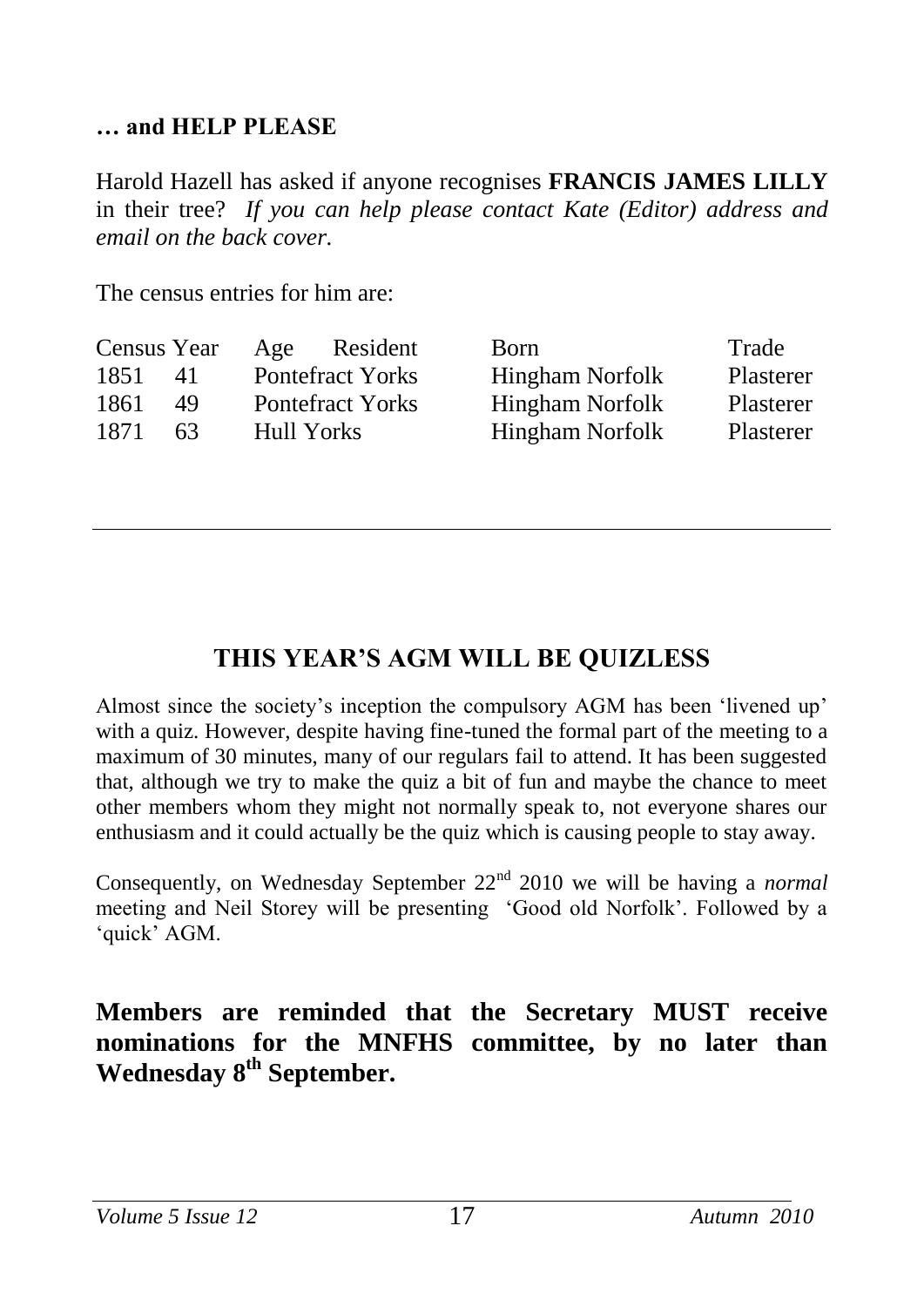#### **… and HELP PLEASE**

Harold Hazell has asked if anyone recognises **FRANCIS JAMES LILLY** in their tree? *If you can help please contact Kate (Editor) address and email on the back cover.*

The census entries for him are:

| Census Year |     | Age        | Resident                | Born                   | Trade     |
|-------------|-----|------------|-------------------------|------------------------|-----------|
| 1851        | 41  |            | <b>Pontefract Yorks</b> | <b>Hingham Norfolk</b> | Plasterer |
| 1861        | 49  |            | <b>Pontefract Yorks</b> | Hingham Norfolk        | Plasterer |
| 1871        | 63. | Hull Yorks |                         | Hingham Norfolk        | Plasterer |

## **THIS YEAR'S AGM WILL BE QUIZLESS**

Almost since the society's inception the compulsory AGM has been 'livened up' with a quiz. However, despite having fine-tuned the formal part of the meeting to a maximum of 30 minutes, many of our regulars fail to attend. It has been suggested that, although we try to make the quiz a bit of fun and maybe the chance to meet other members whom they might not normally speak to, not everyone shares our enthusiasm and it could actually be the quiz which is causing people to stay away.

Consequently, on Wednesday September 22nd 2010 we will be having a *normal* meeting and Neil Storey will be presenting 'Good old Norfolk'. Followed by a 'quick' AGM.

**Members are reminded that the Secretary MUST receive nominations for the MNFHS committee, by no later than Wednesday 8th September.**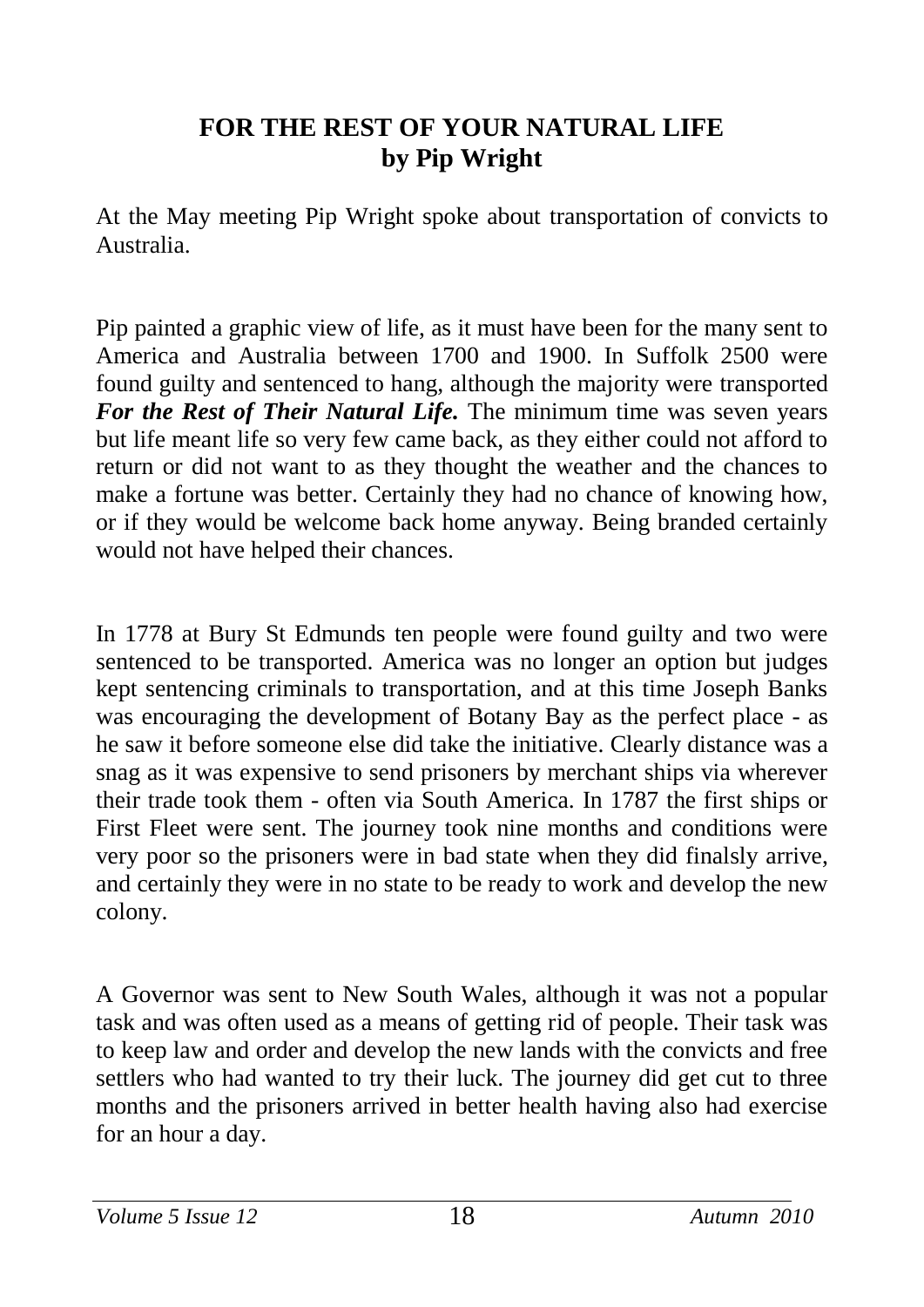#### **FOR THE REST OF YOUR NATURAL LIFE by Pip Wright**

At the May meeting Pip Wright spoke about transportation of convicts to Australia.

Pip painted a graphic view of life, as it must have been for the many sent to America and Australia between 1700 and 1900. In Suffolk 2500 were found guilty and sentenced to hang, although the majority were transported *For the Rest of Their Natural Life.* The minimum time was seven years but life meant life so very few came back, as they either could not afford to return or did not want to as they thought the weather and the chances to make a fortune was better. Certainly they had no chance of knowing how, or if they would be welcome back home anyway. Being branded certainly would not have helped their chances.

In 1778 at Bury St Edmunds ten people were found guilty and two were sentenced to be transported. America was no longer an option but judges kept sentencing criminals to transportation, and at this time Joseph Banks was encouraging the development of Botany Bay as the perfect place - as he saw it before someone else did take the initiative. Clearly distance was a snag as it was expensive to send prisoners by merchant ships via wherever their trade took them - often via South America. In 1787 the first ships or First Fleet were sent. The journey took nine months and conditions were very poor so the prisoners were in bad state when they did finalsly arrive, and certainly they were in no state to be ready to work and develop the new colony.

A Governor was sent to New South Wales, although it was not a popular task and was often used as a means of getting rid of people. Their task was to keep law and order and develop the new lands with the convicts and free settlers who had wanted to try their luck. The journey did get cut to three months and the prisoners arrived in better health having also had exercise for an hour a day.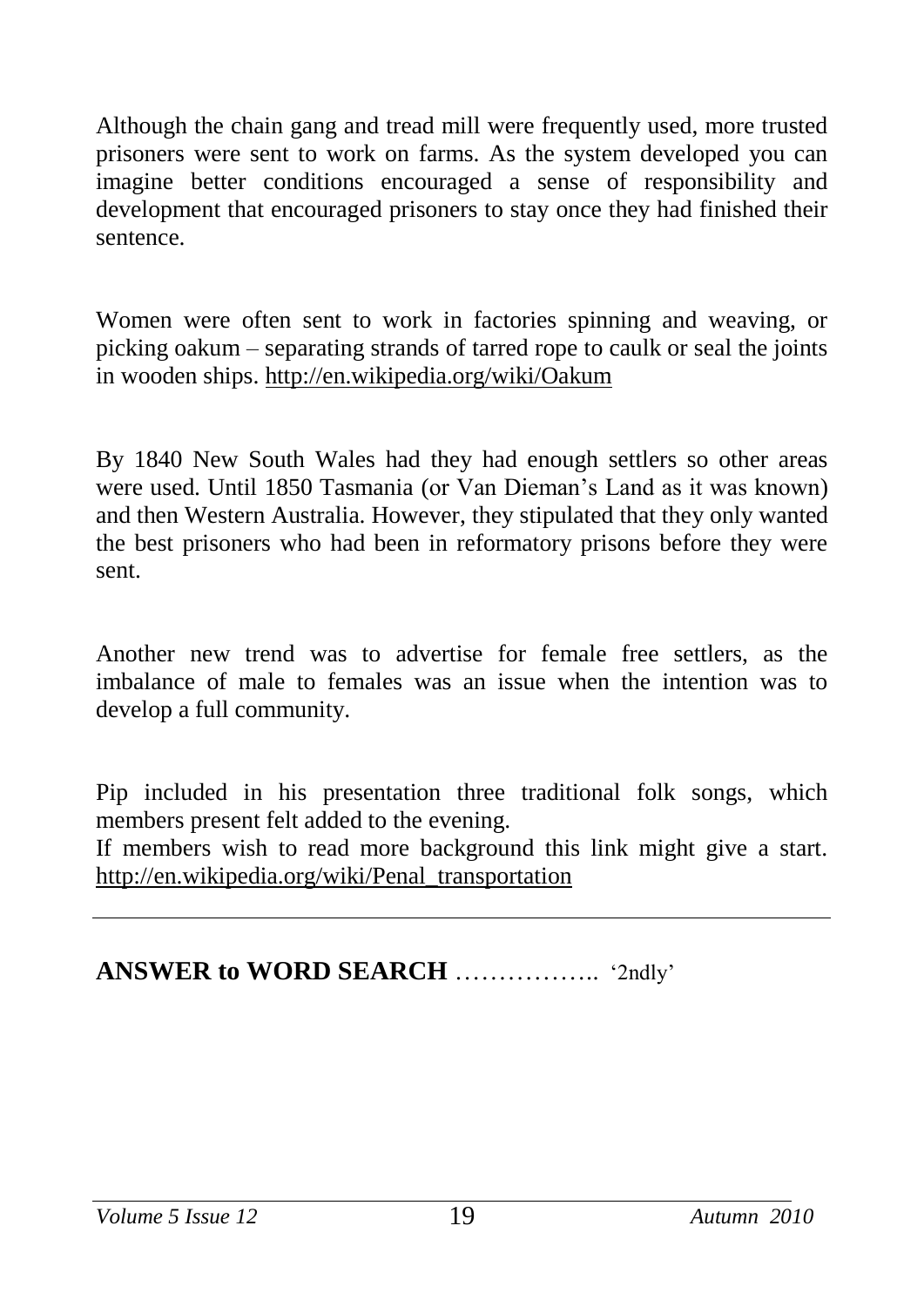Although the chain gang and tread mill were frequently used, more trusted prisoners were sent to work on farms. As the system developed you can imagine better conditions encouraged a sense of responsibility and development that encouraged prisoners to stay once they had finished their sentence.

Women were often sent to work in factories spinning and weaving, or picking oakum – separating strands of tarred rope to caulk or seal the joints in wooden ships. <http://en.wikipedia.org/wiki/Oakum>

By 1840 New South Wales had they had enough settlers so other areas were used. Until 1850 Tasmania (or Van Dieman's Land as it was known) and then Western Australia. However, they stipulated that they only wanted the best prisoners who had been in reformatory prisons before they were sent.

Another new trend was to advertise for female free settlers, as the imbalance of male to females was an issue when the intention was to develop a full community.

Pip included in his presentation three traditional folk songs, which members present felt added to the evening.

If members wish to read more background this link might give a start. [http://en.wikipedia.org/wiki/Penal\\_transportation](http://en.wikipedia.org/wiki/Penal_transportation)

**ANSWER to WORD SEARCH** ……………..'2ndly'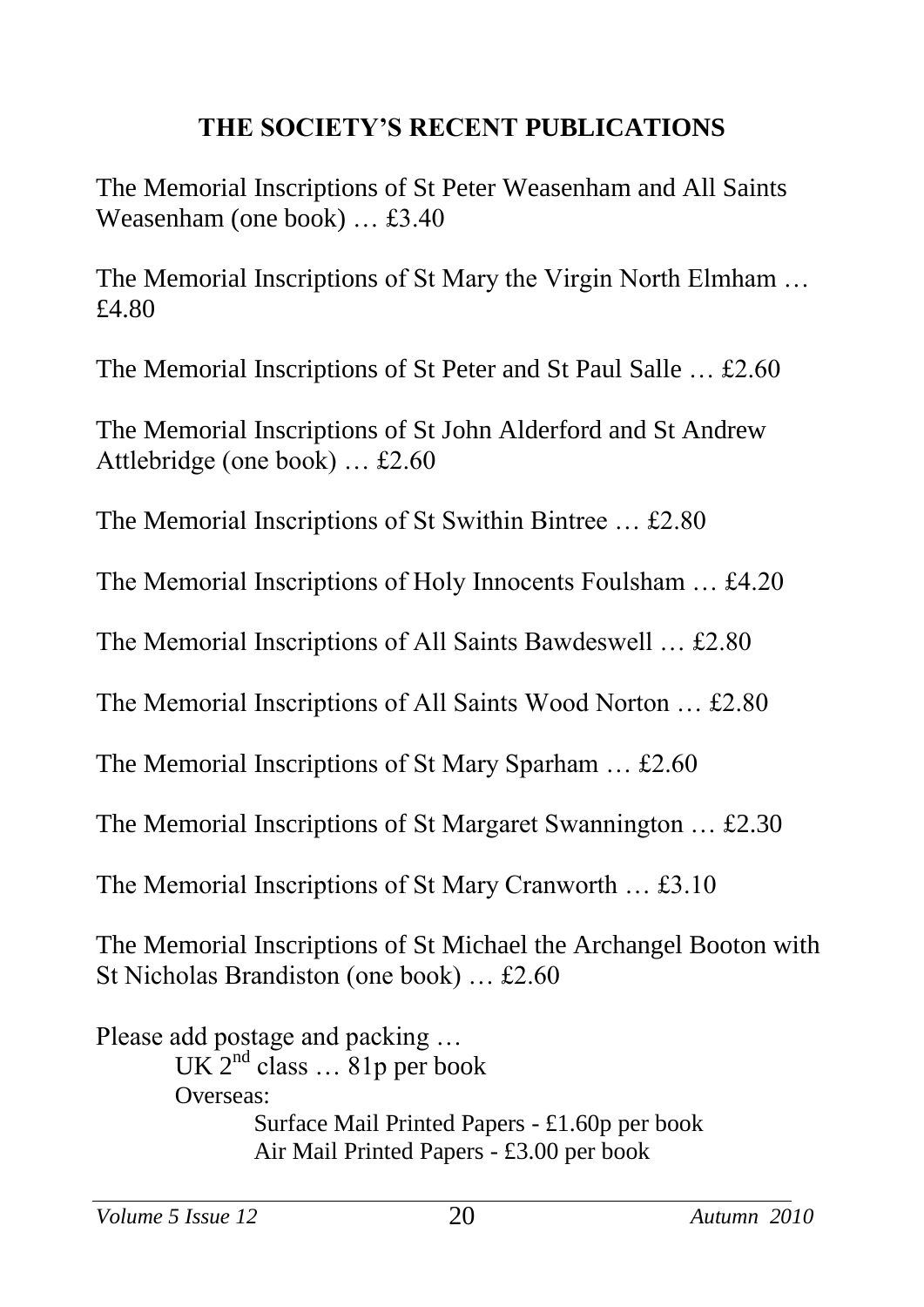## **THE SOCIETY'S RECENT PUBLICATIONS**

The Memorial Inscriptions of St Peter Weasenham and All Saints Weasenham (one book) … £3.40

The Memorial Inscriptions of St Mary the Virgin North Elmham … £4.80

The Memorial Inscriptions of St Peter and St Paul Salle … £2.60

The Memorial Inscriptions of St John Alderford and St Andrew Attlebridge (one book) … £2.60

The Memorial Inscriptions of St Swithin Bintree … £2.80

The Memorial Inscriptions of Holy Innocents Foulsham … £4.20

The Memorial Inscriptions of All Saints Bawdeswell … £2.80

The Memorial Inscriptions of All Saints Wood Norton … £2.80

The Memorial Inscriptions of St Mary Sparham … £2.60

The Memorial Inscriptions of St Margaret Swannington … £2.30

The Memorial Inscriptions of St Mary Cranworth … £3.10

The Memorial Inscriptions of St Michael the Archangel Booton with St Nicholas Brandiston (one book) … £2.60

Please add postage and packing … UK  $2^{nd}$  class  $\dots$  81p per book Overseas: Surface Mail Printed Papers - £1.60p per book Air Mail Printed Papers - £3.00 per book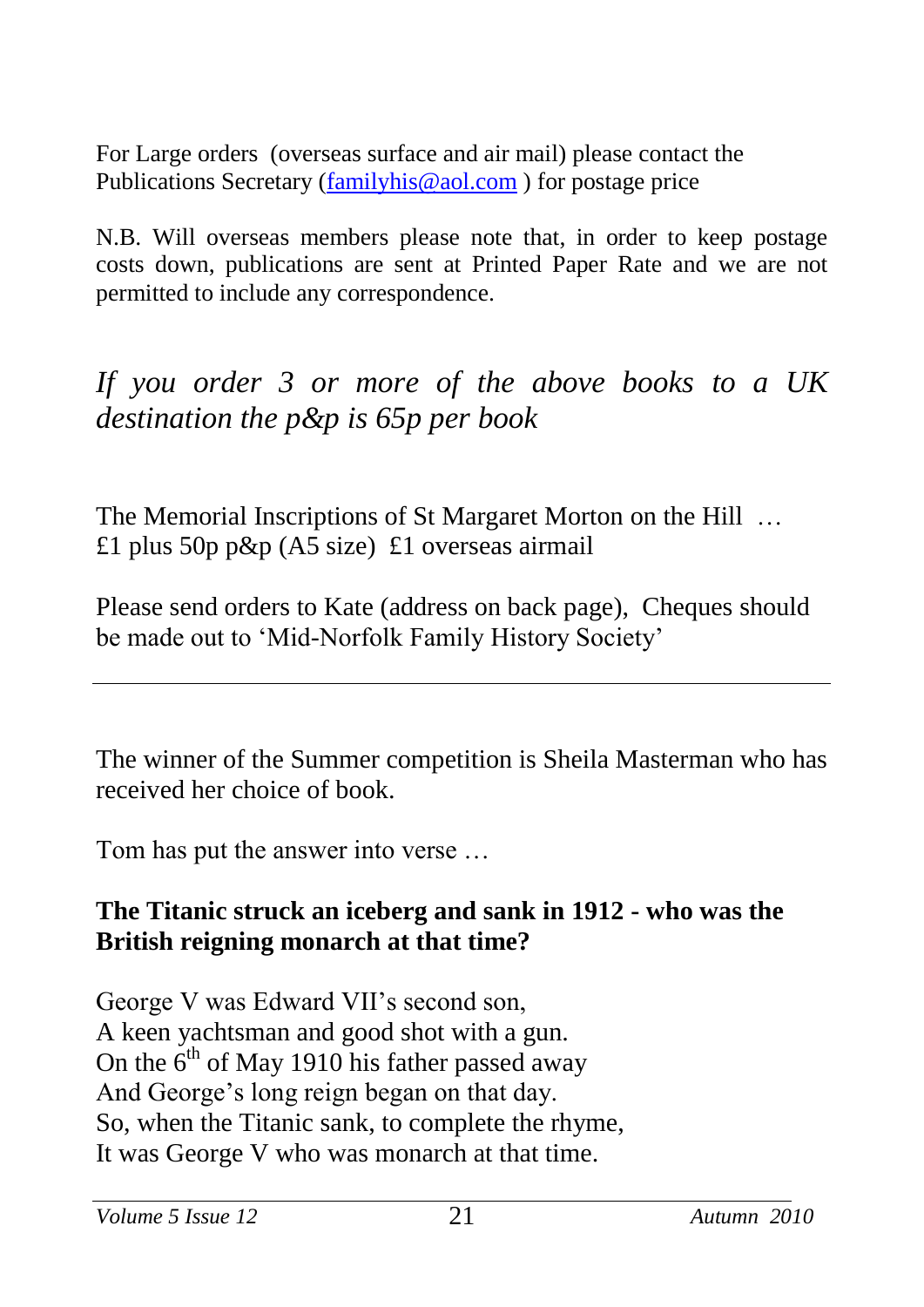For Large orders (overseas surface and air mail) please contact the Publications Secretary [\(familyhis@aol.com](mailto:familyhis@aol.com) ) for postage price

N.B. Will overseas members please note that, in order to keep postage costs down, publications are sent at Printed Paper Rate and we are not permitted to include any correspondence.

*If you order 3 or more of the above books to a UK destination the p&p is 65p per book*

The Memorial Inscriptions of St Margaret Morton on the Hill … £1 plus 50p p&p  $(A5 \text{ size})$  £1 overseas airmail

Please send orders to Kate (address on back page), Cheques should be made out to 'Mid-Norfolk Family History Society'

The winner of the Summer competition is Sheila Masterman who has received her choice of book.

Tom has put the answer into verse …

#### **The Titanic struck an iceberg and sank in 1912 - who was the British reigning monarch at that time?**

George V was Edward VII's second son, A keen yachtsman and good shot with a gun. On the  $6<sup>th</sup>$  of May 1910 his father passed away And George's long reign began on that day. So, when the Titanic sank, to complete the rhyme, It was George V who was monarch at that time.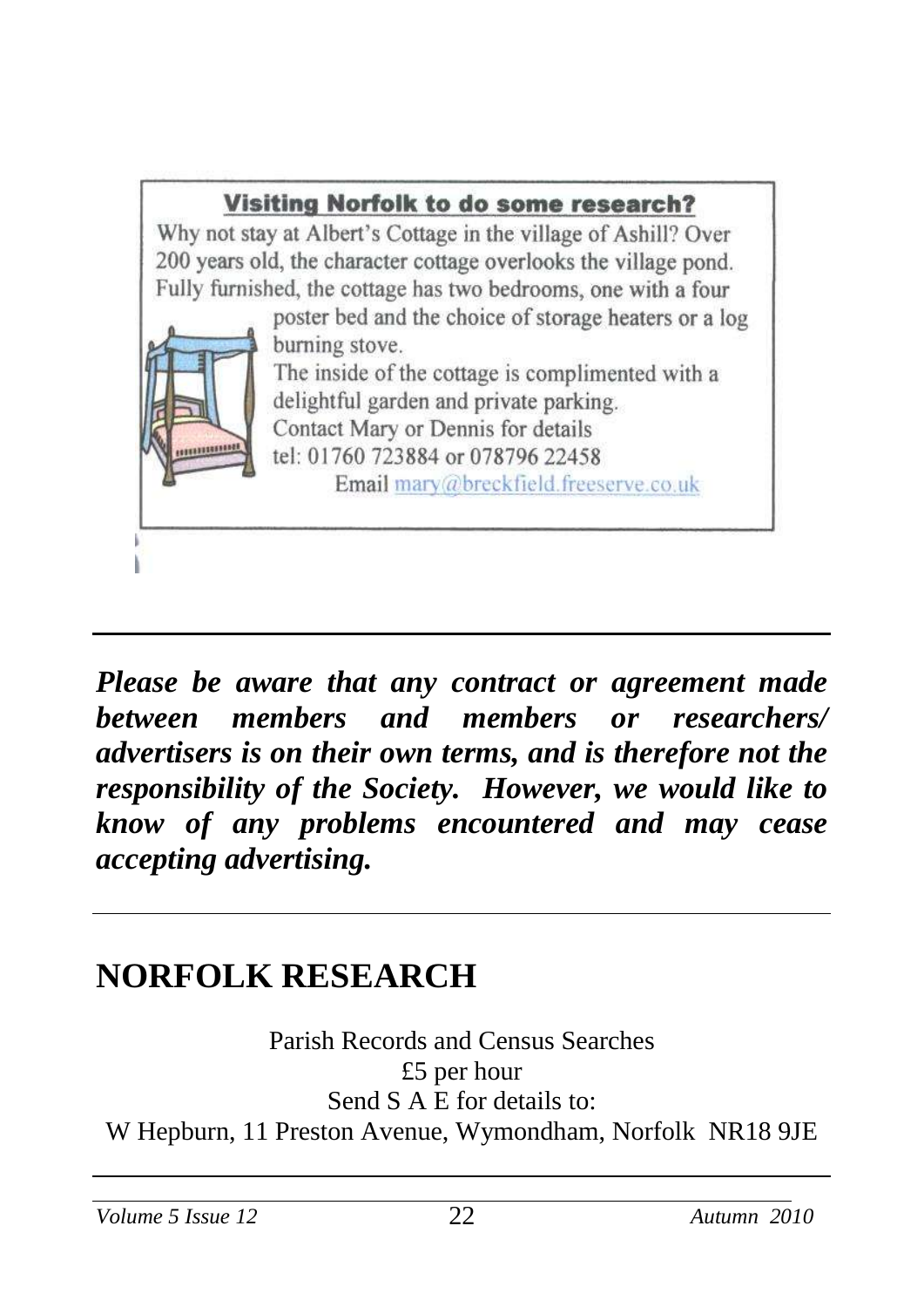

*Please be aware that any contract or agreement made between members and members or researchers/ advertisers is on their own terms, and is therefore not the responsibility of the Society. However, we would like to know of any problems encountered and may cease accepting advertising.*

## **NORFOLK RESEARCH**

Parish Records and Census Searches £5 per hour Send S A E for details to: W Hepburn, 11 Preston Avenue, Wymondham, Norfolk NR18 9JE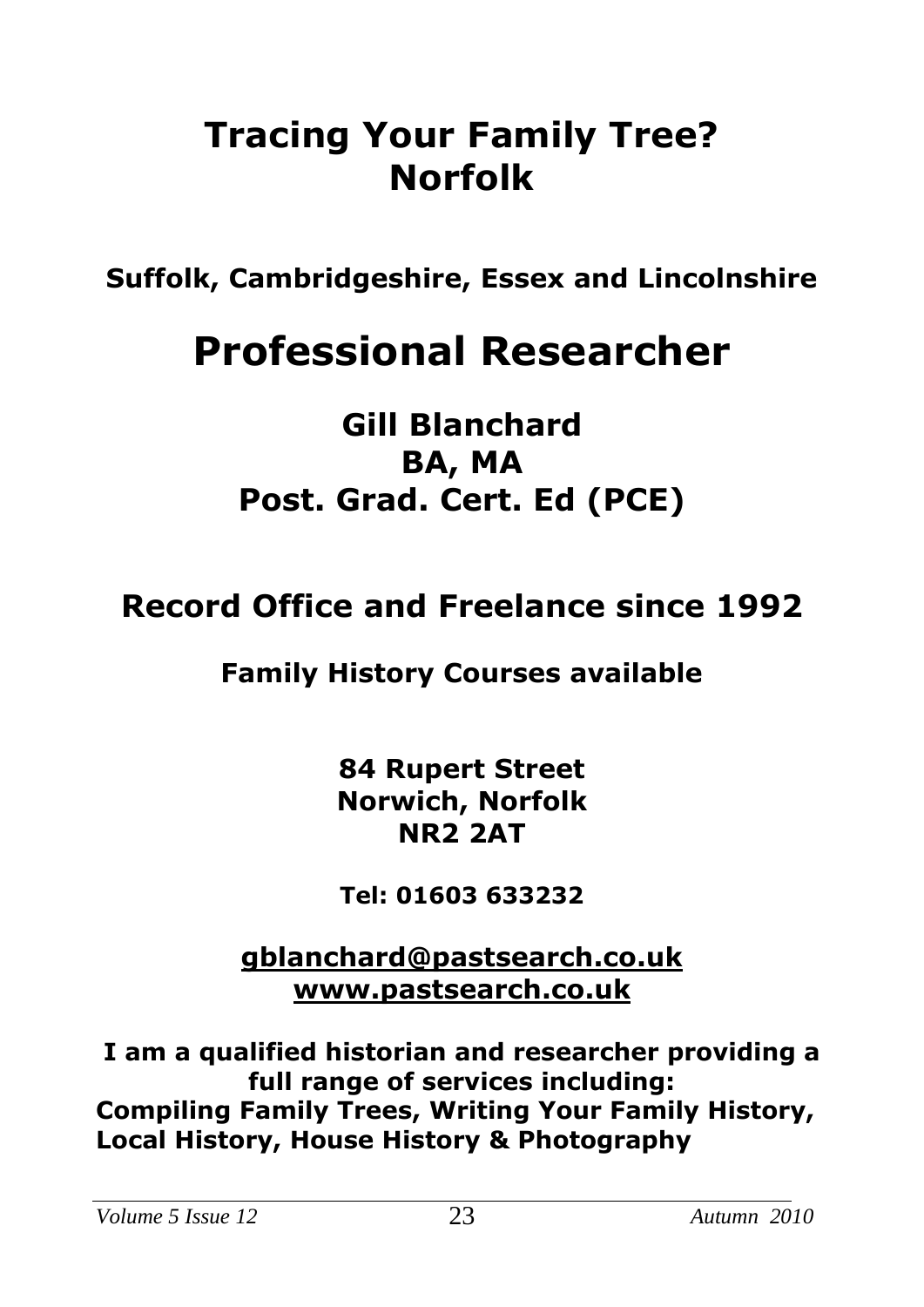## **Tracing Your Family Tree? Norfolk**

**Suffolk, Cambridgeshire, Essex and Lincolnshire**

# **Professional Researcher**

**Gill Blanchard BA, MA Post. Grad. Cert. Ed (PCE)**

## **Record Office and Freelance since 1992**

## **Family History Courses available**

**84 Rupert Street Norwich, Norfolk NR2 2AT**

**Tel: 01603 633232**

**[gblanchard@pastsearch.co.uk](mailto:gblanchard@pastsearch.co.uk) [www.pastsearch.co.uk](http://www.pastsearch.co.uk/)**

**I am a qualified historian and researcher providing a full range of services including: Compiling Family Trees, Writing Your Family History, Local History, House History & Photography**